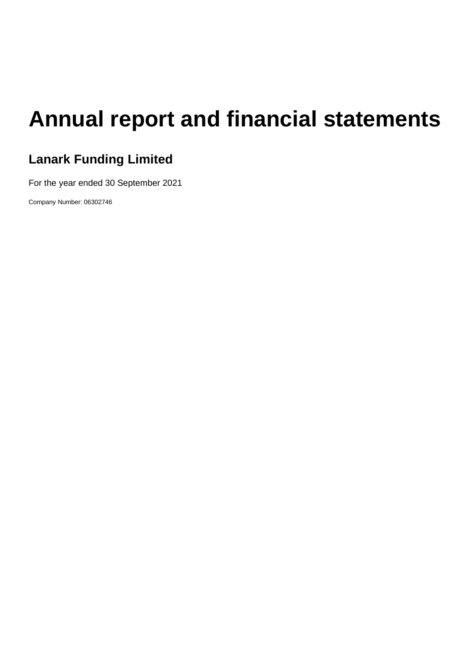# **Annual report and financial statements**

# **Lanark Funding Limited**

For the year ended 30 September 2021

Company Number: 06302746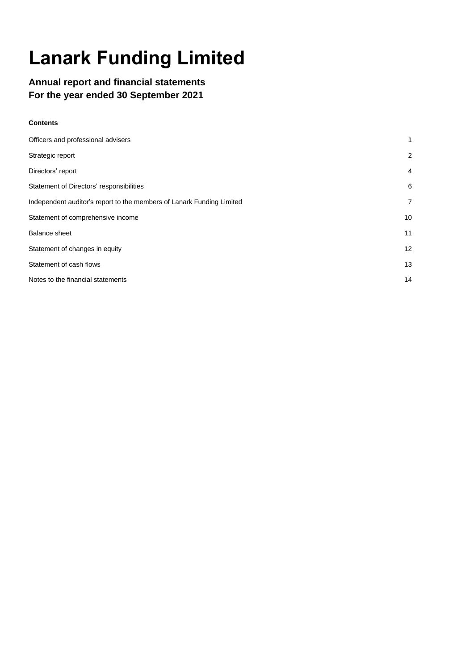# **Annual report and financial statements For the year ended 30 September 2021**

### **Contents**

| Officers and professional advisers                                    |                |
|-----------------------------------------------------------------------|----------------|
| Strategic report                                                      | 2              |
| Directors' report                                                     | $\overline{4}$ |
| Statement of Directors' responsibilities                              | 6              |
| Independent auditor's report to the members of Lanark Funding Limited | $\overline{7}$ |
| Statement of comprehensive income                                     | 10             |
| Balance sheet                                                         | 11             |
| Statement of changes in equity                                        | 12             |
| Statement of cash flows                                               | 13             |
| Notes to the financial statements                                     | 14             |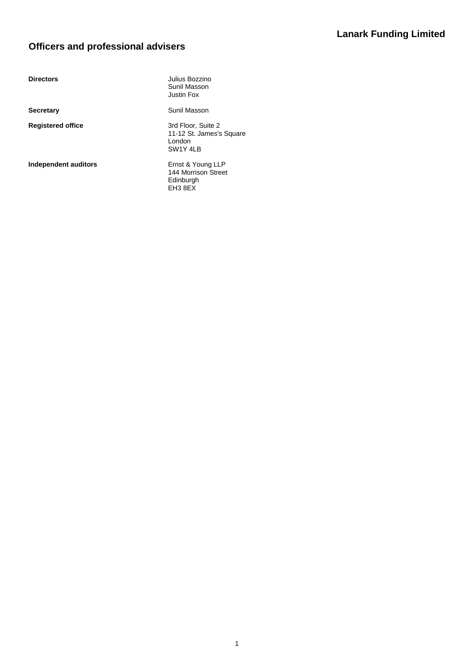# **Officers and professional advisers**

| <b>Directors</b>            | Julius Bozzino<br>Sunil Masson<br><b>Justin Fox</b>                   |
|-----------------------------|-----------------------------------------------------------------------|
| <b>Secretary</b>            | Sunil Masson                                                          |
| <b>Registered office</b>    | 3rd Floor, Suite 2<br>11-12 St. James's Square<br>I ondon<br>SW1Y 4LB |
| <b>Independent auditors</b> | Ernst & Young LLP<br>144 Morrison Street<br>Edinburgh<br>EH3 8EX      |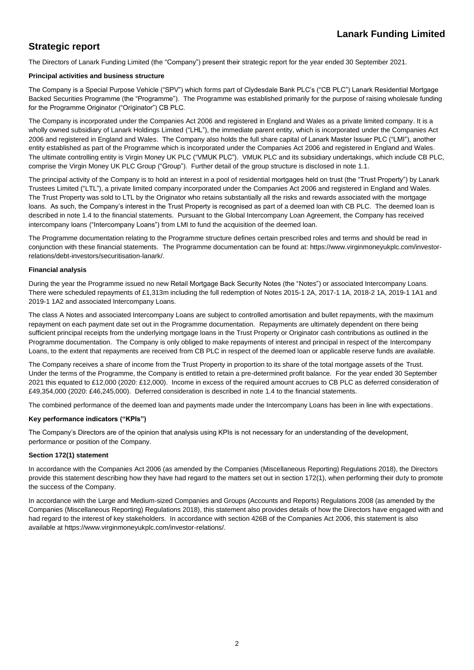# **Strategic report**

The Directors of Lanark Funding Limited (the "Company") present their strategic report for the year ended 30 September 2021.

#### **Principal activities and business structure**

The Company is a Special Purpose Vehicle ("SPV") which forms part of Clydesdale Bank PLC's ("CB PLC") Lanark Residential Mortgage Backed Securities Programme (the "Programme"). The Programme was established primarily for the purpose of raising wholesale funding for the Programme Originator ("Originator") CB PLC.

The Company is incorporated under the Companies Act 2006 and registered in England and Wales as a private limited company. It is a wholly owned subsidiary of Lanark Holdings Limited ("LHL"), the immediate parent entity, which is incorporated under the Companies Act 2006 and registered in England and Wales. The Company also holds the full share capital of Lanark Master Issuer PLC ("LMI"), another entity established as part of the Programme which is incorporated under the Companies Act 2006 and registered in England and Wales. The ultimate controlling entity is Virgin Money UK PLC ("VMUK PLC"). VMUK PLC and its subsidiary undertakings, which include CB PLC, comprise the Virgin Money UK PLC Group ("Group"). Further detail of the group structure is disclosed in note 1.1.

The principal activity of the Company is to hold an interest in a pool of residential mortgages held on trust (the "Trust Property") by Lanark Trustees Limited ("LTL"), a private limited company incorporated under the Companies Act 2006 and registered in England and Wales. The Trust Property was sold to LTL by the Originator who retains substantially all the risks and rewards associated with the mortgage loans. As such, the Company's interest in the Trust Property is recognised as part of a deemed loan with CB PLC. The deemed loan is described in note 1.4 to the financial statements. Pursuant to the Global Intercompany Loan Agreement, the Company has received intercompany loans ("Intercompany Loans") from LMI to fund the acquisition of the deemed loan.

The Programme documentation relating to the Programme structure defines certain prescribed roles and terms and should be read in conjunction with these financial statements. The Programme documentation can be found at: https://www.virginmoneyukplc.com/investorrelations/debt-investors/securitisation-lanark/.

#### **Financial analysis**

During the year the Programme issued no new Retail Mortgage Back Security Notes (the "Notes") or associated Intercompany Loans. There were scheduled repayments of £1,313m including the full redemption of Notes 2015-1 2A, 2017-1 1A, 2018-2 1A, 2019-1 1A1 and 2019-1 1A2 and associated Intercompany Loans.

The class A Notes and associated Intercompany Loans are subject to controlled amortisation and bullet repayments, with the maximum repayment on each payment date set out in the Programme documentation. Repayments are ultimately dependent on there being sufficient principal receipts from the underlying mortgage loans in the Trust Property or Originator cash contributions as outlined in the Programme documentation. The Company is only obliged to make repayments of interest and principal in respect of the Intercompany Loans, to the extent that repayments are received from CB PLC in respect of the deemed loan or applicable reserve funds are available.

The Company receives a share of income from the Trust Property in proportion to its share of the total mortgage assets of the Trust. Under the terms of the Programme, the Company is entitled to retain a pre-determined profit balance. For the year ended 30 September 2021 this equated to £12,000 (2020: £12,000). Income in excess of the required amount accrues to CB PLC as deferred consideration of £49,354,000 (2020: £46,245,000). Deferred consideration is described in note 1.4 to the financial statements.

The combined performance of the deemed loan and payments made under the Intercompany Loans has been in line with expectations.

#### **Key performance indicators ("KPIs")**

The Company's Directors are of the opinion that analysis using KPIs is not necessary for an understanding of the development, performance or position of the Company.

#### **Section 172(1) statement**

In accordance with the Companies Act 2006 (as amended by the Companies (Miscellaneous Reporting) Regulations 2018), the Directors provide this statement describing how they have had regard to the matters set out in section 172(1), when performing their duty to promote the success of the Company.

In accordance with the Large and Medium-sized Companies and Groups (Accounts and Reports) Regulations 2008 (as amended by the Companies (Miscellaneous Reporting) Regulations 2018), this statement also provides details of how the Directors have engaged with and had regard to the interest of key stakeholders. In accordance with section 426B of the Companies Act 2006, this statement is also available at https://www.virginmoneyukplc.com/investor-relations/.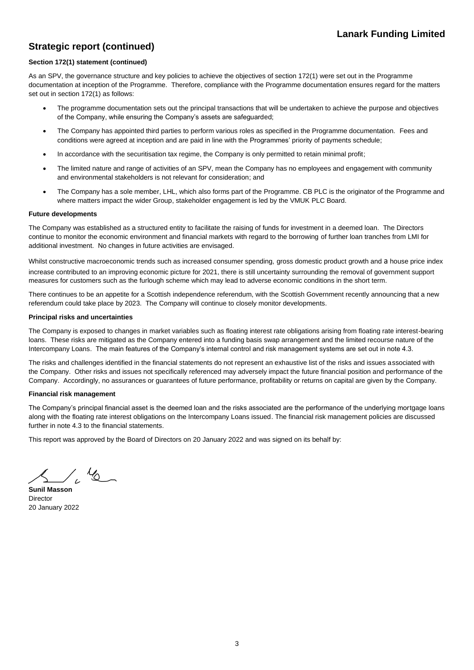# **Strategic report (continued)**

#### **Section 172(1) statement (continued)**

As an SPV, the governance structure and key policies to achieve the objectives of section 172(1) were set out in the Programme documentation at inception of the Programme. Therefore, compliance with the Programme documentation ensures regard for the matters set out in section 172(1) as follows:

- The programme documentation sets out the principal transactions that will be undertaken to achieve the purpose and objectives of the Company, while ensuring the Company's assets are safeguarded;
- The Company has appointed third parties to perform various roles as specified in the Programme documentation. Fees and conditions were agreed at inception and are paid in line with the Programmes' priority of payments schedule;
- In accordance with the securitisation tax regime, the Company is only permitted to retain minimal profit;
- The limited nature and range of activities of an SPV, mean the Company has no employees and engagement with community and environmental stakeholders is not relevant for consideration; and
- The Company has a sole member, LHL, which also forms part of the Programme. CB PLC is the originator of the Programme and where matters impact the wider Group, stakeholder engagement is led by the VMUK PLC Board.

#### **Future developments**

The Company was established as a structured entity to facilitate the raising of funds for investment in a deemed loan. The Directors continue to monitor the economic environment and financial markets with regard to the borrowing of further loan tranches from LMI for additional investment. No changes in future activities are envisaged.

Whilst constructive macroeconomic trends such as increased consumer spending, gross domestic product growth and a house price index increase contributed to an improving economic picture for 2021, there is still uncertainty surrounding the removal of government support measures for customers such as the furlough scheme which may lead to adverse economic conditions in the short term.

There continues to be an appetite for a Scottish independence referendum, with the Scottish Government recently announcing that a new referendum could take place by 2023. The Company will continue to closely monitor developments.

#### **Principal risks and uncertainties**

The Company is exposed to changes in market variables such as floating interest rate obligations arising from floating rate interest-bearing loans. These risks are mitigated as the Company entered into a funding basis swap arrangement and the limited recourse nature of the Intercompany Loans. The main features of the Company's internal control and risk management systems are set out in note 4.3.

The risks and challenges identified in the financial statements do not represent an exhaustive list of the risks and issues associated with the Company. Other risks and issues not specifically referenced may adversely impact the future financial position and performance of the Company. Accordingly, no assurances or guarantees of future performance, profitability or returns on capital are given by the Company.

#### **Financial risk management**

The Company's principal financial asset is the deemed loan and the risks associated are the performance of the underlying mortgage loans along with the floating rate interest obligations on the Intercompany Loans issued. The financial risk management policies are discussed further in note 4.3 to the financial statements.

This report was approved by the Board of Directors on 20 January 2022 and was signed on its behalf by:

 $\frac{1}{2}$ 

**Sunil Masson Director** 20 January 2022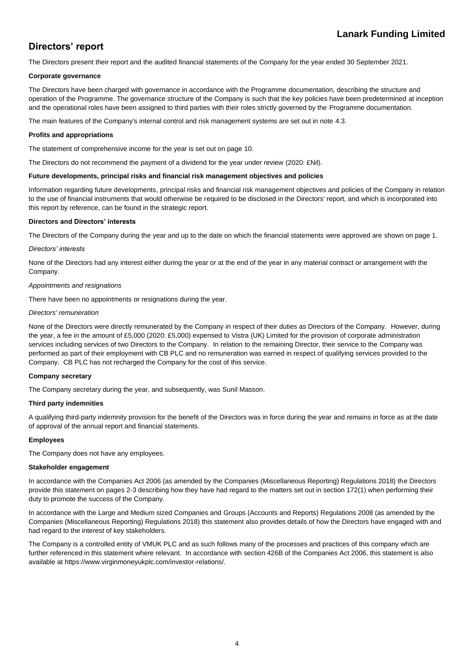# **Directors' report**

The Directors present their report and the audited financial statements of the Company for the year ended 30 September 2021.

#### **Corporate governance**

The Directors have been charged with governance in accordance with the Programme documentation, describing the structure and operation of the Programme. The governance structure of the Company is such that the key policies have been predetermined at inception and the operational roles have been assigned to third parties with their roles strictly governed by the Programme documentation.

The main features of the Company's internal control and risk management systems are set out in note 4.3.

#### **Profits and appropriations**

The statement of comprehensive income for the year is set out on page 10.

The Directors do not recommend the payment of a dividend for the year under review (2020: £Nil).

#### **Future developments, principal risks and financial risk management objectives and policies**

Information regarding future developments, principal risks and financial risk management objectives and policies of the Company in relation to the use of financial instruments that would otherwise be required to be disclosed in the Directors' report, and which is incorporated into this report by reference, can be found in the strategic report.

#### **Directors and Directors' interests**

The Directors of the Company during the year and up to the date on which the financial statements were approved are shown on page 1.

#### *Directors' interests*

None of the Directors had any interest either during the year or at the end of the year in any material contract or arrangement with the Company.

#### *Appointments and resignations*

There have been no appointments or resignations during the year.

#### *Directors' remuneration*

None of the Directors were directly remunerated by the Company in respect of their duties as Directors of the Company. However, during the year, a fee in the amount of £5,000 (2020: £5,000) expensed to Vistra (UK) Limited for the provision of corporate administration services including services of two Directors to the Company. In relation to the remaining Director, their service to the Company was performed as part of their employment with CB PLC and no remuneration was earned in respect of qualifying services provided to the Company. CB PLC has not recharged the Company for the cost of this service.

#### **Company secretary**

The Company secretary during the year, and subsequently, was Sunil Masson.

#### **Third party indemnities**

A qualifying third-party indemnity provision for the benefit of the Directors was in force during the year and remains in force as at the date of approval of the annual report and financial statements.

#### **Employees**

The Company does not have any employees.

#### **Stakeholder engagement**

In accordance with the Companies Act 2006 (as amended by the Companies (Miscellaneous Reporting) Regulations 2018) the Directors provide this statement on pages 2-3 describing how they have had regard to the matters set out in section 172(1) when performing their duty to promote the success of the Company.

In accordance with the Large and Medium sized Companies and Groups (Accounts and Reports) Regulations 2008 (as amended by the Companies (Miscellaneous Reporting) Regulations 2018) this statement also provides details of how the Directors have engaged with and had regard to the interest of key stakeholders.

The Company is a controlled entity of VMUK PLC and as such follows many of the processes and practices of this company which are further referenced in this statement where relevant. In accordance with section 426B of the Companies Act 2006, this statement is also available at https://www.virginmoneyukplc.com/investor-relations/.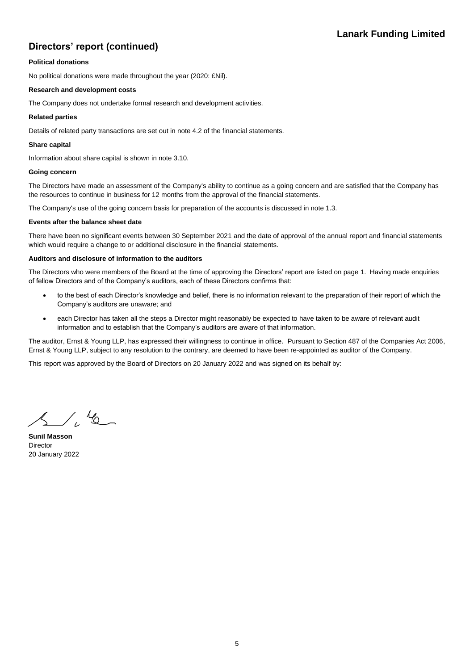# **Directors' report (continued)**

#### **Political donations**

No political donations were made throughout the year (2020: £Nil).

#### **Research and development costs**

The Company does not undertake formal research and development activities.

#### **Related parties**

Details of related party transactions are set out in note 4.2 of the financial statements.

#### **Share capital**

Information about share capital is shown in note 3.10.

#### **Going concern**

The Directors have made an assessment of the Company's ability to continue as a going concern and are satisfied that the Company has the resources to continue in business for 12 months from the approval of the financial statements.

The Company's use of the going concern basis for preparation of the accounts is discussed in note 1.3.

#### **Events after the balance sheet date**

There have been no significant events between 30 September 2021 and the date of approval of the annual report and financial statements which would require a change to or additional disclosure in the financial statements.

#### **Auditors and disclosure of information to the auditors**

The Directors who were members of the Board at the time of approving the Directors' report are listed on page 1. Having made enquiries of fellow Directors and of the Company's auditors, each of these Directors confirms that:

- to the best of each Director's knowledge and belief, there is no information relevant to the preparation of their report of which the Company's auditors are unaware; and
- each Director has taken all the steps a Director might reasonably be expected to have taken to be aware of relevant audit information and to establish that the Company's auditors are aware of that information.

The auditor, Ernst & Young LLP, has expressed their willingness to continue in office. Pursuant to Section 487 of the Companies Act 2006, Ernst & Young LLP, subject to any resolution to the contrary, are deemed to have been re-appointed as auditor of the Company.

This report was approved by the Board of Directors on 20 January 2022 and was signed on its behalf by:

 $3/12$ 

**Sunil Masson** Director 20 January 2022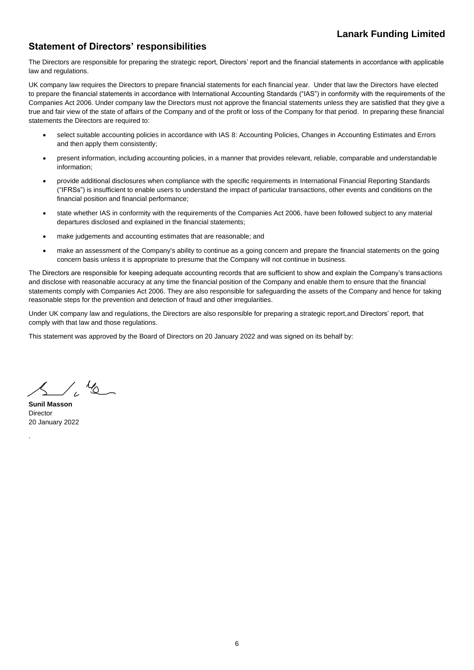# **Statement of Directors' responsibilities**

The Directors are responsible for preparing the strategic report, Directors' report and the financial statements in accordance with applicable law and regulations.

UK company law requires the Directors to prepare financial statements for each financial year. Under that law the Directors have elected to prepare the financial statements in accordance with International Accounting Standards ("IAS") in conformity with the requirements of the Companies Act 2006. Under company law the Directors must not approve the financial statements unless they are satisfied that they give a true and fair view of the state of affairs of the Company and of the profit or loss of the Company for that period. In preparing these financial statements the Directors are required to:

- select suitable accounting policies in accordance with IAS 8: Accounting Policies, Changes in Accounting Estimates and Errors and then apply them consistently;
- present information, including accounting policies, in a manner that provides relevant, reliable, comparable and understandable information;
- provide additional disclosures when compliance with the specific requirements in International Financial Reporting Standards ("IFRSs") is insufficient to enable users to understand the impact of particular transactions, other events and conditions on the financial position and financial performance;
- state whether IAS in conformity with the requirements of the Companies Act 2006, have been followed subject to any material departures disclosed and explained in the financial statements;
- make judgements and accounting estimates that are reasonable; and
- make an assessment of the Company's ability to continue as a going concern and prepare the financial statements on the going concern basis unless it is appropriate to presume that the Company will not continue in business.

The Directors are responsible for keeping adequate accounting records that are sufficient to show and explain the Company's transactions and disclose with reasonable accuracy at any time the financial position of the Company and enable them to ensure that the financial statements comply with Companies Act 2006. They are also responsible for safeguarding the assets of the Company and hence for taking reasonable steps for the prevention and detection of fraud and other irregularities.

Under UK company law and regulations, the Directors are also responsible for preparing a strategic report,and Directors' report, that comply with that law and those regulations.

This statement was approved by the Board of Directors on 20 January 2022 and was signed on its behalf by:

 $\frac{1}{2}$ 

**Sunil Masson** Director 20 January 2022

.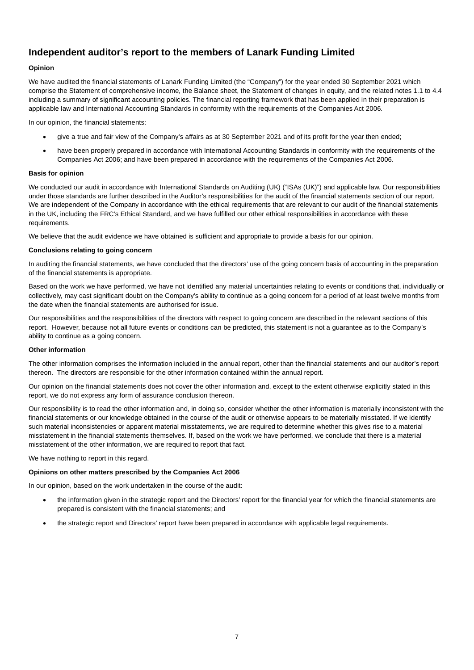### **Independent auditor's report to the members of Lanark Funding Limited**

#### **Opinion**

We have audited the financial statements of Lanark Funding Limited (the "Company") for the year ended 30 September 2021 which comprise the Statement of comprehensive income, the Balance sheet, the Statement of changes in equity, and the related notes 1.1 to 4.4 including a summary of significant accounting policies. The financial reporting framework that has been applied in their preparation is applicable law and International Accounting Standards in conformity with the requirements of the Companies Act 2006.

In our opinion, the financial statements:

- · give a true and fair view of the Company's affairs as at 30 September 2021 and of its profit for the year then ended;
- have been properly prepared in accordance with International Accounting Standards in conformity with the requirements of the Companies Act 2006; and have been prepared in accordance with the requirements of the Companies Act 2006.

#### **Basis for opinion**

We conducted our audit in accordance with International Standards on Auditing (UK) ("ISAs (UK)") and applicable law. Our responsibilities under those standards are further described in the Auditor's responsibilities for the audit of the financial statements section of our report. We are independent of the Company in accordance with the ethical requirements that are relevant to our audit of the financial statements in the UK, including the FRC's Ethical Standard, and we have fulfilled our other ethical responsibilities in accordance with these requirements.

We believe that the audit evidence we have obtained is sufficient and appropriate to provide a basis for our opinion.

#### **Conclusions relating to going concern**

In auditing the financial statements, we have concluded that the directors' use of the going concern basis of accounting in the preparation of the financial statements is appropriate.

Based on the work we have performed, we have not identified any material uncertainties relating to events or conditions that, individually or collectively, may cast significant doubt on the Company's ability to continue as a going concern for a period of at least twelve months from the date when the financial statements are authorised for issue.

Our responsibilities and the responsibilities of the directors with respect to going concern are described in the relevant sections of this report. However, because not all future events or conditions can be predicted, this statement is not a guarantee as to the Company's ability to continue as a going concern.

#### **Other information**

The other information comprises the information included in the annual report, other than the financial statements and our auditor's report thereon. The directors are responsible for the other information contained within the annual report.

Our opinion on the financial statements does not cover the other information and, except to the extent otherwise explicitly stated in this report, we do not express any form of assurance conclusion thereon.

Our responsibility is to read the other information and, in doing so, consider whether the other information is materially inconsistent with the financial statements or our knowledge obtained in the course of the audit or otherwise appears to be materially misstated. If we identify such material inconsistencies or apparent material misstatements, we are required to determine whether this gives rise to a material misstatement in the financial statements themselves. If, based on the work we have performed, we conclude that there is a material misstatement of the other information, we are required to report that fact.

We have nothing to report in this regard.

#### **Opinions on other matters prescribed by the Companies Act 2006**

In our opinion, based on the work undertaken in the course of the audit:

- the information given in the strategic report and the Directors' report for the financial year for which the financial statements are prepared is consistent with the financial statements; and
- · the strategic report and Directors' report have been prepared in accordance with applicable legal requirements.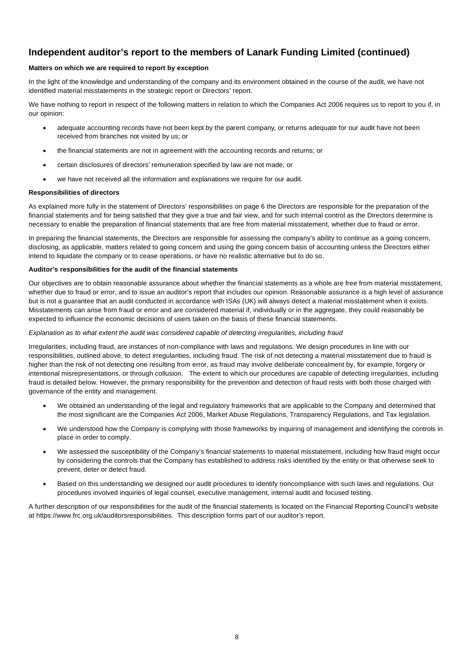## **Independent auditor's report to the members of Lanark Funding Limited (continued)**

#### **Matters on which we are required to report by exception**

In the light of the knowledge and understanding of the company and its environment obtained in the course of the audit, we have not identified material misstatements in the strategic report or Directors' report.

We have nothing to report in respect of the following matters in relation to which the Companies Act 2006 requires us to report to you if, in our opinion:

- adequate accounting records have not been kept by the parent company, or returns adequate for our audit have not been received from branches not visited by us; or
- the financial statements are not in agreement with the accounting records and returns; or
- · certain disclosures of directors' remuneration specified by law are not made; or
- we have not received all the information and explanations we require for our audit.

#### **Responsibilities of directors**

As explained more fully in the statement of Directors' responsibilities on page 6 the Directors are responsible for the preparation of the financial statements and for being satisfied that they give a true and fair view, and for such internal control as the Directors determine is necessary to enable the preparation of financial statements that are free from material misstatement, whether due to fraud or error.

In preparing the financial statements, the Directors are responsible for assessing the company's ability to continue as a going concern, disclosing, as applicable, matters related to going concern and using the going concern basis of accounting unless the Directors either intend to liquidate the company or to cease operations, or have no realistic alternative but to do so.

#### **Auditor's responsibilities for the audit of the financial statements**

Our objectives are to obtain reasonable assurance about whether the financial statements as a whole are free from material misstatement, whether due to fraud or error, and to issue an auditor's report that includes our opinion. Reasonable assurance is a high level of assurance but is not a guarantee that an audit conducted in accordance with ISAs (UK) will always detect a material misstatement when it exists. Misstatements can arise from fraud or error and are considered material if, individually or in the aggregate, they could reasonably be expected to influence the economic decisions of users taken on the basis of these financial statements.

#### *Explanation as to what extent the audit was considered capable of detecting irregularities, including fraud*

Irregularities, including fraud, are instances of non-compliance with laws and regulations. We design procedures in line with our responsibilities, outlined above, to detect irregularities, including fraud. The risk of not detecting a material misstatement due to fraud is higher than the risk of not detecting one resulting from error, as fraud may involve deliberate concealment by, for example, forgery or intentional misrepresentations, or through collusion. The extent to which our procedures are capable of detecting irregularities, including fraud is detailed below. However, the primary responsibility for the prevention and detection of fraud rests with both those charged with governance of the entity and management.

- · We obtained an understanding of the legal and regulatory frameworks that are applicable to the Company and determined that the most significant are the Companies Act 2006, Market Abuse Regulations, Transparency Regulations, and Tax legislation.
- We understood how the Company is complying with those frameworks by inquiring of management and identifying the controls in place in order to comply.
- We assessed the susceptibility of the Company's financial statements to material misstatement, including how fraud might occur by considering the controls that the Company has established to address risks identified by the entity or that otherwise seek to prevent, deter or detect fraud.
- Based on this understanding we designed our audit procedures to identify noncompliance with such laws and regulations. Our procedures involved inquiries of legal counsel, executive management, internal audit and focused testing.

A further description of our responsibilities for the audit of the financial statements is located on the Financial Reporting Council's website at https://www.frc.org.uk/auditorsresponsibilities. This description forms part of our auditor's report.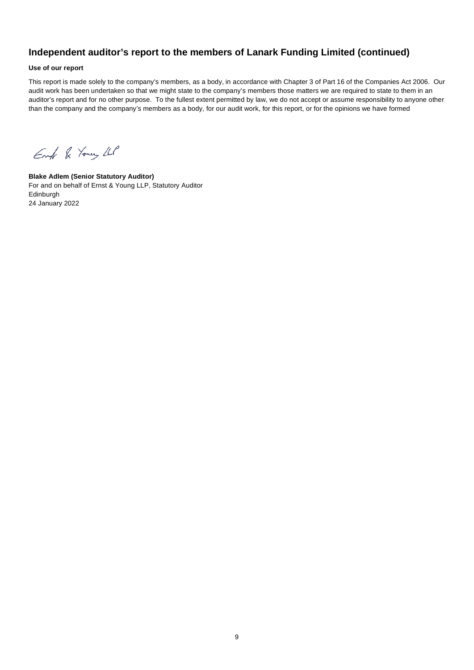### **Independent auditor's report to the members of Lanark Funding Limited (continued)**

### **Use of our report**

This report is made solely to the company's members, as a body, in accordance with Chapter 3 of Part 16 of the Companies Act 2006. Our audit work has been undertaken so that we might state to the company's members those matters we are required to state to them in an auditor's report and for no other purpose. To the fullest extent permitted by law, we do not accept or assume responsibility to anyone other than the company and the company's members as a body, for our audit work, for this report, or for the opinions we have formed

Engl & Young LLP

**Blake Adlem (Senior Statutory Auditor)** For and on behalf of Ernst & Young LLP, Statutory Auditor Edinburgh 24 January 2022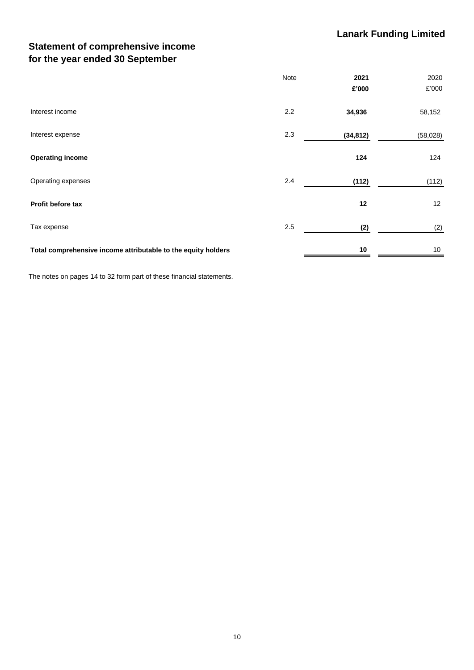# **Statement of comprehensive income for the year ended 30 September**

|                                                               | Note    | 2021      | 2020            |
|---------------------------------------------------------------|---------|-----------|-----------------|
|                                                               |         | £'000     | £'000           |
| Interest income                                               | 2.2     | 34,936    | 58,152          |
| Interest expense                                              | 2.3     | (34, 812) | (58,028)        |
| <b>Operating income</b>                                       |         | 124       | 124             |
| Operating expenses                                            | 2.4     | (112)     | (112)           |
| Profit before tax                                             |         | 12        | 12              |
| Tax expense                                                   | $2.5\,$ | (2)       | (2)             |
| Total comprehensive income attributable to the equity holders |         | 10        | 10 <sup>1</sup> |

The notes on pages 14 to 32 form part of these financial statements.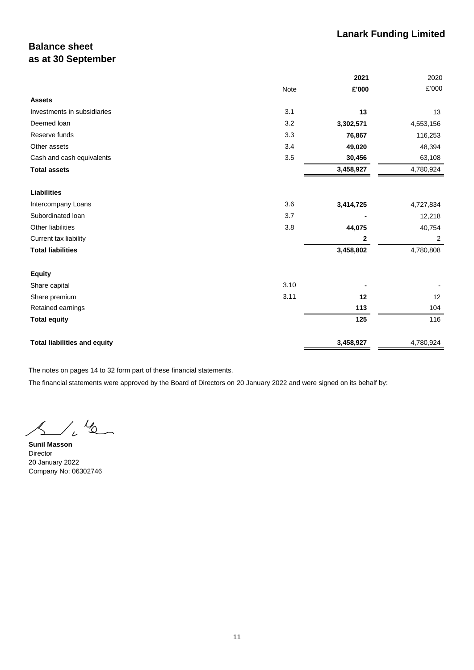# **Balance sheet as at 30 September**

|                                     |      | 2021      | 2020           |
|-------------------------------------|------|-----------|----------------|
|                                     | Note | £'000     | £'000          |
| <b>Assets</b>                       |      |           |                |
| Investments in subsidiaries         | 3.1  | 13        | 13             |
| Deemed loan                         | 3.2  | 3,302,571 | 4,553,156      |
| Reserve funds                       | 3.3  | 76,867    | 116,253        |
| Other assets                        | 3.4  | 49,020    | 48,394         |
| Cash and cash equivalents           | 3.5  | 30,456    | 63,108         |
| <b>Total assets</b>                 |      | 3,458,927 | 4,780,924      |
|                                     |      |           |                |
| <b>Liabilities</b>                  |      |           |                |
| Intercompany Loans                  | 3.6  | 3,414,725 | 4,727,834      |
| Subordinated Ioan                   | 3.7  |           | 12,218         |
| Other liabilities                   | 3.8  | 44,075    | 40,754         |
| Current tax liability               |      | 2         | $\overline{c}$ |
| <b>Total liabilities</b>            |      | 3,458,802 | 4,780,808      |
| <b>Equity</b>                       |      |           |                |
| Share capital                       | 3.10 |           |                |
| Share premium                       | 3.11 | 12        | 12             |
| Retained earnings                   |      | 113       | 104            |
| <b>Total equity</b>                 |      | 125       | 116            |
| <b>Total liabilities and equity</b> |      | 3,458,927 | 4,780,924      |

The notes on pages 14 to 32 form part of these financial statements.

The financial statements were approved by the Board of Directors on 20 January 2022 and were signed on its behalf by:

 $2/40$ 

**Sunil Masson** Director 20 January 2022 Company No: 06302746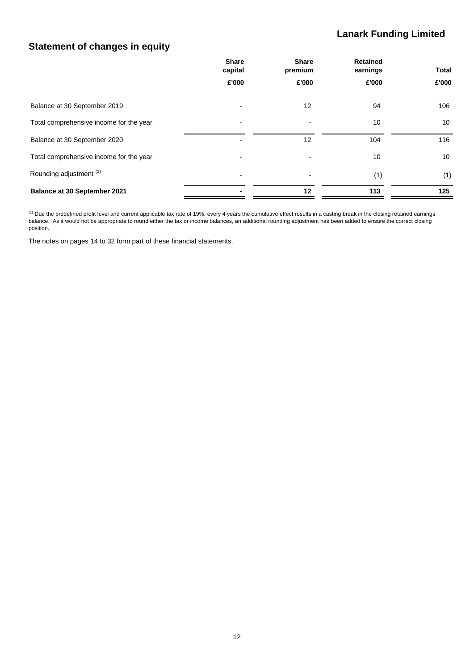## **Statement of changes in equity**

|                                         | <b>Share</b><br>capital  | <b>Share</b><br>premium | <b>Retained</b><br>earnings | <b>Total</b> |
|-----------------------------------------|--------------------------|-------------------------|-----------------------------|--------------|
|                                         | £'000                    | £'000                   | £'000                       | £'000        |
| Balance at 30 September 2019            |                          | 12                      | 94                          | 106          |
| Total comprehensive income for the year | $\blacksquare$           | ۰                       | 10                          | 10           |
| Balance at 30 September 2020            | $\overline{\phantom{0}}$ | 12                      | 104                         | 116          |
| Total comprehensive income for the year | $\blacksquare$           |                         | 10                          | 10           |
| Rounding adjustment <sup>(1)</sup>      | $\blacksquare$           |                         | (1)                         | (1)          |
| Balance at 30 September 2021            |                          | 12                      | 113                         | 125          |

<sup>(1)</sup> Due the predefined profit level and current applicable tax rate of 19%, every 4 years the cumulative effect results in a casting break in the closing retained earnings balance. As it would not be appropriate to round either the tax or income balances, an additional rounding adjustment has been added to ensure the correct closing position.

The notes on pages 14 to 32 form part of these financial statements.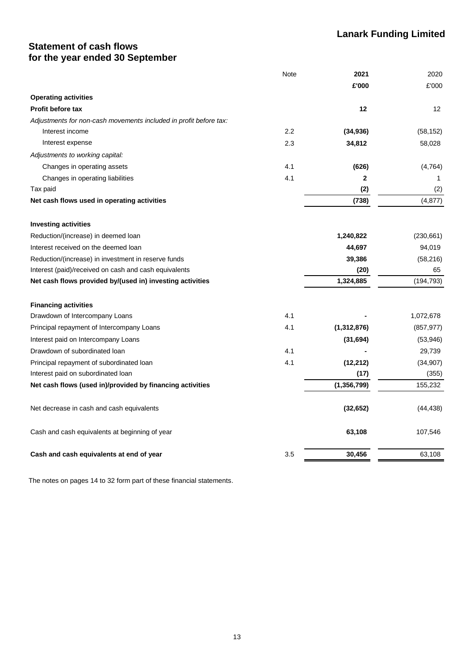# **Statement of cash flows for the year ended 30 September**

|                                                                   | Note | 2021           | 2020       |
|-------------------------------------------------------------------|------|----------------|------------|
|                                                                   |      | £'000          | £'000      |
| <b>Operating activities</b>                                       |      |                |            |
| <b>Profit before tax</b>                                          |      | 12             | 12         |
| Adjustments for non-cash movements included in profit before tax: |      |                |            |
| Interest income                                                   | 2.2  | (34, 936)      | (58, 152)  |
| Interest expense                                                  | 2.3  | 34,812         | 58,028     |
| Adjustments to working capital:                                   |      |                |            |
| Changes in operating assets                                       | 4.1  | (626)          | (4, 764)   |
| Changes in operating liabilities                                  | 4.1  | $\overline{2}$ | 1          |
| Tax paid                                                          |      | (2)            | (2)        |
| Net cash flows used in operating activities                       |      | (738)          | (4, 877)   |
| <b>Investing activities</b>                                       |      |                |            |
| Reduction/(increase) in deemed loan                               |      | 1,240,822      | (230, 661) |
| Interest received on the deemed loan                              |      | 44,697         | 94,019     |
| Reduction/(increase) in investment in reserve funds               |      | 39,386         | (58, 216)  |
| Interest (paid)/received on cash and cash equivalents             |      | (20)           | 65         |
| Net cash flows provided by/(used in) investing activities         |      | 1,324,885      | (194, 793) |
| <b>Financing activities</b>                                       |      |                |            |
| Drawdown of Intercompany Loans                                    | 4.1  |                | 1,072,678  |
| Principal repayment of Intercompany Loans                         | 4.1  | (1,312,876)    | (857, 977) |
| Interest paid on Intercompany Loans                               |      | (31, 694)      | (53, 946)  |
| Drawdown of subordinated loan                                     | 4.1  |                | 29,739     |
| Principal repayment of subordinated loan                          | 4.1  | (12, 212)      | (34, 907)  |
| Interest paid on subordinated loan                                |      | (17)           | (355)      |
| Net cash flows (used in)/provided by financing activities         |      | (1, 356, 799)  | 155,232    |
| Net decrease in cash and cash equivalents                         |      | (32, 652)      | (44, 438)  |
| Cash and cash equivalents at beginning of year                    |      | 63,108         | 107,546    |
| Cash and cash equivalents at end of year                          | 3.5  | 30,456         | 63,108     |

The notes on pages 14 to 32 form part of these financial statements.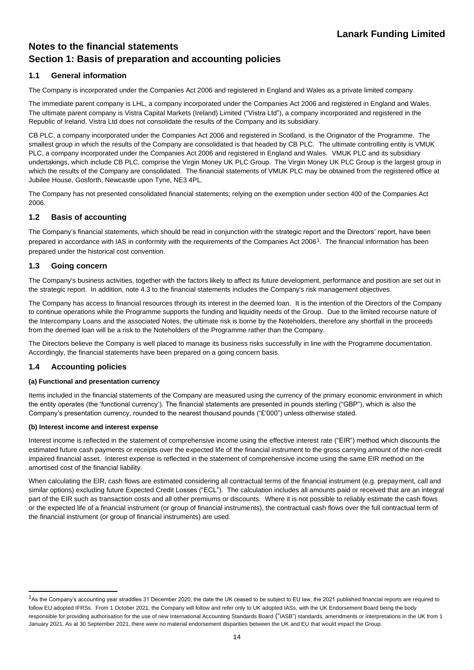# **Notes to the financial statements Section 1: Basis of preparation and accounting policies**

### **1.1 General information**

The Company is incorporated under the Companies Act 2006 and registered in England and Wales as a private limited company.

The immediate parent company is LHL, a company incorporated under the Companies Act 2006 and registered in England and Wales. The ultimate parent company is Vistra Capital Markets (Ireland) Limited ("Vistra Ltd"), a company incorporated and registered in the Republic of Ireland. Vistra Ltd does not consolidate the results of the Company and its subsidiary.

CB PLC, a company incorporated under the Companies Act 2006 and registered in Scotland, is the Originator of the Programme. The smallest group in which the results of the Company are consolidated is that headed by CB PLC. The ultimate controlling entity is VMUK PLC, a company incorporated under the Companies Act 2006 and registered in England and Wales. VMUK PLC and its subsidiary undertakings, which include CB PLC, comprise the Virgin Money UK PLC Group. The Virgin Money UK PLC Group is the largest group in which the results of the Company are consolidated. The financial statements of VMUK PLC may be obtained from the registered office at Jubilee House, Gosforth, Newcastle upon Tyne, NE3 4PL.

The Company has not presented consolidated financial statements; relying on the exemption under section 400 of the Companies Act 2006.

### **1.2 Basis of accounting**

The Company's financial statements, which should be read in conjunction with the strategic report and the Directors' report, have been prepared in accordance with IAS in conformity with the requirements of the Companies Act 2006<sup>1</sup>. The financial information has been prepared under the historical cost convention.

### **1.3 Going concern**

The Company's business activities, together with the factors likely to affect its future development, performance and position are set out in the strategic report. In addition, note 4.3 to the financial statements includes the Company's risk management objectives.

The Company has access to financial resources through its interest in the deemed loan. It is the intention of the Directors of the Company to continue operations while the Programme supports the funding and liquidity needs of the Group. Due to the limited recourse nature of the Intercompany Loans and the associated Notes, the ultimate risk is borne by the Noteholders, therefore any shortfall in the proceeds from the deemed loan will be a risk to the Noteholders of the Programme rather than the Company.

The Directors believe the Company is well placed to manage its business risks successfully in line with the Programme documentation. Accordingly, the financial statements have been prepared on a going concern basis.

### **1.4 Accounting policies**

#### **(a) Functional and presentation currency**

Items included in the financial statements of the Company are measured using the currency of the primary economic environment in which the entity operates (the 'functional currency'). The financial statements are presented in pounds sterling ("GBP"), which is also the Company's presentation currency, rounded to the nearest thousand pounds ("£'000") unless otherwise stated.

#### **(b) Interest income and interest expense**

Interest income is reflected in the statement of comprehensive income using the effective interest rate ("EIR") method which discounts the estimated future cash payments or receipts over the expected life of the financial instrument to the gross carrying amount of the non-credit impaired financial asset. Interest expense is reflected in the statement of comprehensive income using the same EIR method on the amortised cost of the financial liability.

When calculating the EIR, cash flows are estimated considering all contractual terms of the financial instrument (e.g. prepayment, call and similar options) excluding future Expected Credit Losses ("ECL"). The calculation includes all amounts paid or received that are an integral part of the EIR such as transaction costs and all other premiums or discounts. Where it is not possible to reliably estimate the cash flows or the expected life of a financial instrument (or group of financial instruments), the contractual cash flows over the full contractual term of the financial instrument (or group of financial instruments) are used.

 $1_A$ s the Company's accounting year straddles 31 December 2020, the date the UK ceased to be subject to EU law, the 2021 published financial reports are required to follow EU adopted IFRSs. From 1 October 2021, the Company will follow and refer only to UK adopted IASs, with the UK Endorsement Board being the body responsible for providing authorisation for the use of new International Accounting Standards Board ("IASB") standards, amendments or interpretations in the UK from 1 January 2021. As at 30 September 2021, there were no material endorsement disparities between the UK and EU that would impact the Group.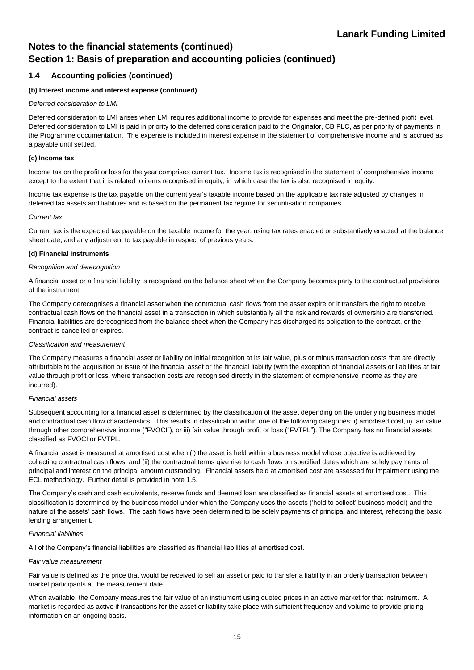### **1.4 Accounting policies (continued)**

#### **(b) Interest income and interest expense (continued)**

#### *Deferred consideration to LMI*

Deferred consideration to LMI arises when LMI requires additional income to provide for expenses and meet the pre-defined profit level. Deferred consideration to LMI is paid in priority to the deferred consideration paid to the Originator, CB PLC, as per priority of payments in the Programme documentation. The expense is included in interest expense in the statement of comprehensive income and is accrued as a payable until settled.

#### **(c) Income tax**

Income tax on the profit or loss for the year comprises current tax. Income tax is recognised in the statement of comprehensive income except to the extent that it is related to items recognised in equity, in which case the tax is also recognised in equity.

Income tax expense is the tax payable on the current year's taxable income based on the applicable tax rate adjusted by changes in deferred tax assets and liabilities and is based on the permanent tax regime for securitisation companies.

#### *Current tax*

Current tax is the expected tax payable on the taxable income for the year, using tax rates enacted or substantively enacted at the balance sheet date, and any adjustment to tax payable in respect of previous years.

#### **(d) Financial instruments**

#### *Recognition and derecognition*

A financial asset or a financial liability is recognised on the balance sheet when the Company becomes party to the contractual provisions of the instrument.

The Company derecognises a financial asset when the contractual cash flows from the asset expire or it transfers the right to receive contractual cash flows on the financial asset in a transaction in which substantially all the risk and rewards of ownership are transferred. Financial liabilities are derecognised from the balance sheet when the Company has discharged its obligation to the contract, or the contract is cancelled or expires.

#### *Classification and measurement*

The Company measures a financial asset or liability on initial recognition at its fair value, plus or minus transaction costs that are directly attributable to the acquisition or issue of the financial asset or the financial liability (with the exception of financial assets or liabilities at fair value through profit or loss, where transaction costs are recognised directly in the statement of comprehensive income as they are incurred).

#### *Financial assets*

Subsequent accounting for a financial asset is determined by the classification of the asset depending on the underlying business model and contractual cash flow characteristics. This results in classification within one of the following categories: i) amortised cost, ii) fair value through other comprehensive income ("FVOCI"), or iii) fair value through profit or loss ("FVTPL"). The Company has no financial assets classified as FVOCI or FVTPL.

A financial asset is measured at amortised cost when (i) the asset is held within a business model whose objective is achieved by collecting contractual cash flows; and (ii) the contractual terms give rise to cash flows on specified dates which are solely payments of principal and interest on the principal amount outstanding. Financial assets held at amortised cost are assessed for impairment using the ECL methodology. Further detail is provided in note 1.5.

The Company's cash and cash equivalents, reserve funds and deemed loan are classified as financial assets at amortised cost. This classification is determined by the business model under which the Company uses the assets ('held to collect' business model) and the nature of the assets' cash flows. The cash flows have been determined to be solely payments of principal and interest, reflecting the basic lending arrangement.

#### *Financial liabilities*

All of the Company's financial liabilities are classified as financial liabilities at amortised cost.

#### *Fair value measurement*

Fair value is defined as the price that would be received to sell an asset or paid to transfer a liability in an orderly transaction between market participants at the measurement date.

When available, the Company measures the fair value of an instrument using quoted prices in an active market for that instrument. A market is regarded as active if transactions for the asset or liability take place with sufficient frequency and volume to provide pricing information on an ongoing basis.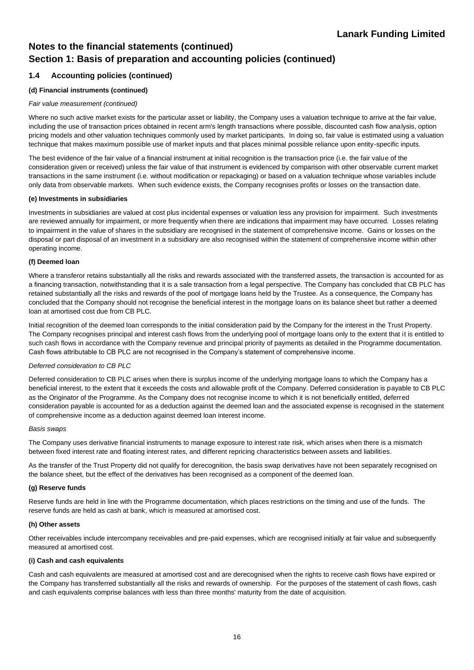### **1.4 Accounting policies (continued)**

### **(d) Financial instruments (continued)**

#### *Fair value measurement (continued)*

Where no such active market exists for the particular asset or liability, the Company uses a valuation technique to arrive at the fair value, including the use of transaction prices obtained in recent arm's length transactions where possible, discounted cash flow analysis, option pricing models and other valuation techniques commonly used by market participants. In doing so, fair value is estimated using a valuation technique that makes maximum possible use of market inputs and that places minimal possible reliance upon entity-specific inputs.

The best evidence of the fair value of a financial instrument at initial recognition is the transaction price (i.e. the fair value of the consideration given or received) unless the fair value of that instrument is evidenced by comparison with other observable current market transactions in the same instrument (i.e. without modification or repackaging) or based on a valuation technique whose variables include only data from observable markets. When such evidence exists, the Company recognises profits or losses on the transaction date.

#### **(e) Investments in subsidiaries**

Investments in subsidiaries are valued at cost plus incidental expenses or valuation less any provision for impairment. Such investments are reviewed annually for impairment, or more frequently when there are indications that impairment may have occurred. Losses relating to impairment in the value of shares in the subsidiary are recognised in the statement of comprehensive income. Gains or losses on the disposal or part disposal of an investment in a subsidiary are also recognised within the statement of comprehensive income within other operating income.

#### **(f) Deemed loan**

Where a transferor retains substantially all the risks and rewards associated with the transferred assets, the transaction is accounted for as a financing transaction, notwithstanding that it is a sale transaction from a legal perspective. The Company has concluded that CB PLC has retained substantially all the risks and rewards of the pool of mortgage loans held by the Trustee. As a consequence, the Company has concluded that the Company should not recognise the beneficial interest in the mortgage loans on its balance sheet but rather a deemed loan at amortised cost due from CB PLC.

Initial recognition of the deemed loan corresponds to the initial consideration paid by the Company for the interest in the Trust Property. The Company recognises principal and interest cash flows from the underlying pool of mortgage loans only to the extent that it is entitled to such cash flows in accordance with the Company revenue and principal priority of payments as detailed in the Programme documentation. Cash flows attributable to CB PLC are not recognised in the Company's statement of comprehensive income.

#### *Deferred consideration to CB PLC*

Deferred consideration to CB PLC arises when there is surplus income of the underlying mortgage loans to which the Company has a beneficial interest, to the extent that it exceeds the costs and allowable profit of the Company. Deferred consideration is payable to CB PLC as the Originator of the Programme. As the Company does not recognise income to which it is not beneficially entitled, deferred consideration payable is accounted for as a deduction against the deemed loan and the associated expense is recognised in the statement of comprehensive income as a deduction against deemed loan interest income.

#### *Basis swaps*

The Company uses derivative financial instruments to manage exposure to interest rate risk, which arises when there is a mismatch between fixed interest rate and floating interest rates, and different repricing characteristics between assets and liabilities.

As the transfer of the Trust Property did not qualify for derecognition, the basis swap derivatives have not been separately recognised on the balance sheet, but the effect of the derivatives has been recognised as a component of the deemed loan.

#### **(g) Reserve funds**

Reserve funds are held in line with the Programme documentation, which places restrictions on the timing and use of the funds. The reserve funds are held as cash at bank, which is measured at amortised cost.

#### **(h) Other assets**

Other receivables include intercompany receivables and pre-paid expenses, which are recognised initially at fair value and subsequently measured at amortised cost.

#### **(i) Cash and cash equivalents**

Cash and cash equivalents are measured at amortised cost and are derecognised when the rights to receive cash flows have expired or the Company has transferred substantially all the risks and rewards of ownership. For the purposes of the statement of cash flows, cash and cash equivalents comprise balances with less than three months' maturity from the date of acquisition.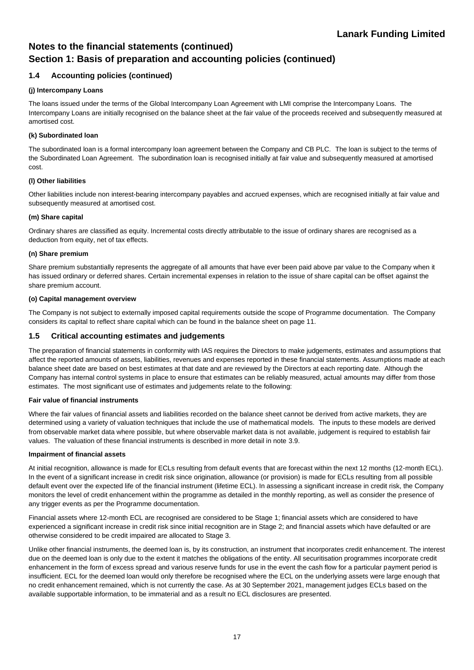### **1.4 Accounting policies (continued)**

### **(j) Intercompany Loans**

The loans issued under the terms of the Global Intercompany Loan Agreement with LMI comprise the Intercompany Loans. The Intercompany Loans are initially recognised on the balance sheet at the fair value of the proceeds received and subsequently measured at amortised cost.

### **(k) Subordinated loan**

The subordinated loan is a formal intercompany loan agreement between the Company and CB PLC. The loan is subject to the terms of the Subordinated Loan Agreement. The subordination loan is recognised initially at fair value and subsequently measured at amortised cost.

#### **(l) Other liabilities**

Other liabilities include non interest-bearing intercompany payables and accrued expenses, which are recognised initially at fair value and subsequently measured at amortised cost.

#### **(m) Share capital**

Ordinary shares are classified as equity. Incremental costs directly attributable to the issue of ordinary shares are recognised as a deduction from equity, net of tax effects.

#### **(n) Share premium**

Share premium substantially represents the aggregate of all amounts that have ever been paid above par value to the Company when it has issued ordinary or deferred shares. Certain incremental expenses in relation to the issue of share capital can be offset against the share premium account.

#### **(o) Capital management overview**

The Company is not subject to externally imposed capital requirements outside the scope of Programme documentation. The Company considers its capital to reflect share capital which can be found in the balance sheet on page 11.

### **1.5 Critical accounting estimates and judgements**

The preparation of financial statements in conformity with IAS requires the Directors to make judgements, estimates and assumptions that affect the reported amounts of assets, liabilities, revenues and expenses reported in these financial statements. Assumptions made at each balance sheet date are based on best estimates at that date and are reviewed by the Directors at each reporting date. Although the Company has internal control systems in place to ensure that estimates can be reliably measured, actual amounts may differ from those estimates. The most significant use of estimates and judgements relate to the following:

#### **Fair value of financial instruments**

Where the fair values of financial assets and liabilities recorded on the balance sheet cannot be derived from active markets, they are determined using a variety of valuation techniques that include the use of mathematical models. The inputs to these models are derived from observable market data where possible, but where observable market data is not available, judgement is required to establish fair values. The valuation of these financial instruments is described in more detail in note 3.9.

#### **Impairment of financial assets**

At initial recognition, allowance is made for ECLs resulting from default events that are forecast within the next 12 months (12-month ECL). In the event of a significant increase in credit risk since origination, allowance (or provision) is made for ECLs resulting from all possible default event over the expected life of the financial instrument (lifetime ECL). In assessing a significant increase in credit risk, the Company monitors the level of credit enhancement within the programme as detailed in the monthly reporting, as well as consider the presence of any trigger events as per the Programme documentation.

Financial assets where 12-month ECL are recognised are considered to be Stage 1; financial assets which are considered to have experienced a significant increase in credit risk since initial recognition are in Stage 2; and financial assets which have defaulted or are otherwise considered to be credit impaired are allocated to Stage 3.

Unlike other financial instruments, the deemed loan is, by its construction, an instrument that incorporates credit enhancement. The interest due on the deemed loan is only due to the extent it matches the obligations of the entity. All securitisation programmes incorporate credit enhancement in the form of excess spread and various reserve funds for use in the event the cash flow for a particular payment period is insufficient. ECL for the deemed loan would only therefore be recognised where the ECL on the underlying assets were large enough that no credit enhancement remained, which is not currently the case. As at 30 September 2021, management judges ECLs based on the available supportable information, to be immaterial and as a result no ECL disclosures are presented.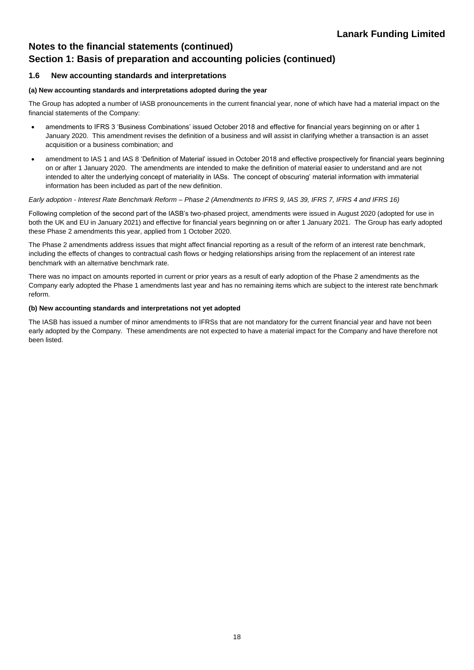### **1.6 New accounting standards and interpretations**

### **(a) New accounting standards and interpretations adopted during the year**

The Group has adopted a number of IASB pronouncements in the current financial year, none of which have had a material impact on the financial statements of the Company:

- amendments to IFRS 3 'Business Combinations' issued October 2018 and effective for financial years beginning on or after 1 January 2020. This amendment revises the definition of a business and will assist in clarifying whether a transaction is an asset acquisition or a business combination; and
- amendment to IAS 1 and IAS 8 'Definition of Material' issued in October 2018 and effective prospectively for financial years beginning on or after 1 January 2020. The amendments are intended to make the definition of material easier to understand and are not intended to alter the underlying concept of materiality in IASs. The concept of obscuring' material information with immaterial information has been included as part of the new definition.

#### *Early adoption - Interest Rate Benchmark Reform – Phase 2 (Amendments to IFRS 9, IAS 39, IFRS 7, IFRS 4 and IFRS 16)*

Following completion of the second part of the IASB's two-phased project, amendments were issued in August 2020 (adopted for use in both the UK and EU in January 2021) and effective for financial years beginning on or after 1 January 2021. The Group has early adopted these Phase 2 amendments this year, applied from 1 October 2020.

The Phase 2 amendments address issues that might affect financial reporting as a result of the reform of an interest rate benchmark, including the effects of changes to contractual cash flows or hedging relationships arising from the replacement of an interest rate benchmark with an alternative benchmark rate.

There was no impact on amounts reported in current or prior years as a result of early adoption of the Phase 2 amendments as the Company early adopted the Phase 1 amendments last year and has no remaining items which are subject to the interest rate benchmark reform.

#### **(b) New accounting standards and interpretations not yet adopted**

The IASB has issued a number of minor amendments to IFRSs that are not mandatory for the current financial year and have not been early adopted by the Company. These amendments are not expected to have a material impact for the Company and have therefore not been listed.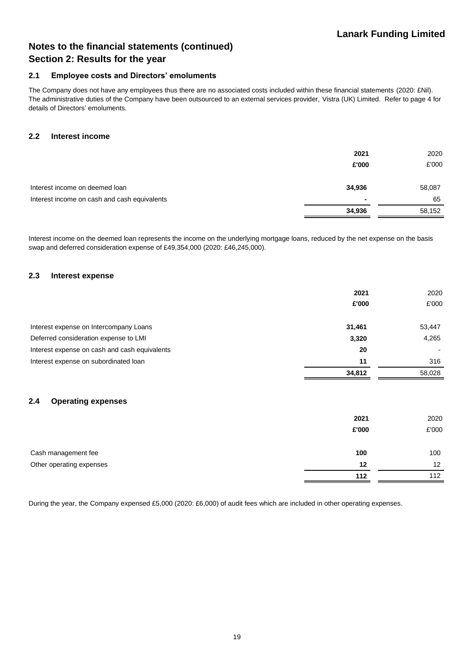# **Notes to the financial statements (continued) Section 2: Results for the year**

### **2.1 Employee costs and Directors' emoluments**

The Company does not have any employees thus there are no associated costs included within these financial statements (2020: £Nil). The administrative duties of the Company have been outsourced to an external services provider, Vistra (UK) Limited. Refer to page 4 for details of Directors' emoluments.

### **2.2 Interest income**

|                                              | 2021<br>£'000 | 2020<br>£'000 |
|----------------------------------------------|---------------|---------------|
| Interest income on deemed loan               | 34,936        | 58,087        |
| Interest income on cash and cash equivalents | ۰<br>34,936   | 65<br>58,152  |

Interest income on the deemed loan represents the income on the underlying mortgage loans, reduced by the net expense on the basis swap and deferred consideration expense of £49,354,000 (2020: £46,245,000).

### **2.3 Interest expense**

|                                               | 2021<br>£'000 | 2020<br>£'000 |
|-----------------------------------------------|---------------|---------------|
| Interest expense on Intercompany Loans        | 31,461        | 53,447        |
| Deferred consideration expense to LMI         | 3,320         | 4,265         |
| Interest expense on cash and cash equivalents | 20            |               |
| Interest expense on subordinated loan         | 11            | 316           |
|                                               | 34,812        | 58,028        |

#### **2.4 Operating expenses**

|                          | 2021<br>£'000 | 2020<br>£'000 |
|--------------------------|---------------|---------------|
| Cash management fee      | 100           | 100           |
| Other operating expenses | 12            | 12            |
|                          | 112           | 112           |

During the year, the Company expensed £5,000 (2020: £6,000) of audit fees which are included in other operating expenses.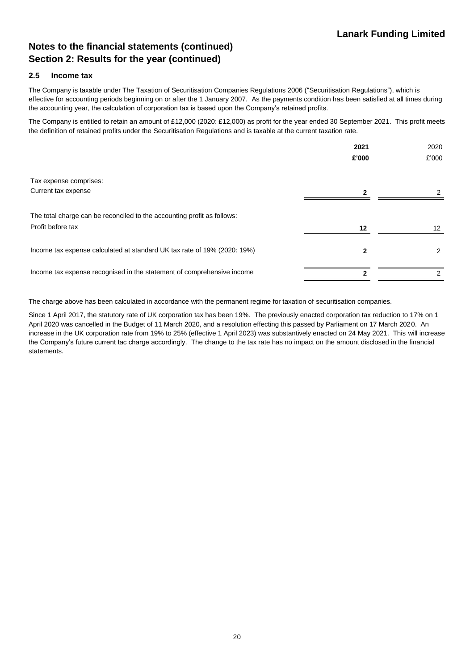# **Notes to the financial statements (continued) Section 2: Results for the year (continued)**

### **2.5 Income tax**

The Company is taxable under The Taxation of Securitisation Companies Regulations 2006 ("Securitisation Regulations"), which is effective for accounting periods beginning on or after the 1 January 2007. As the payments condition has been satisfied at all times during the accounting year, the calculation of corporation tax is based upon the Company's retained profits.

The Company is entitled to retain an amount of £12,000 (2020: £12,000) as profit for the year ended 30 September 2021. This profit meets the definition of retained profits under the Securitisation Regulations and is taxable at the current taxation rate.

|                                                                          | 2021  | 2020                 |
|--------------------------------------------------------------------------|-------|----------------------|
|                                                                          | £'000 | £'000                |
| Tax expense comprises:                                                   |       |                      |
| Current tax expense                                                      |       |                      |
| The total charge can be reconciled to the accounting profit as follows:  |       |                      |
| Profit before tax                                                        | 12    | 12 <sup>2</sup>      |
| Income tax expense calculated at standard UK tax rate of 19% (2020: 19%) | 2     | $\mathbf{2}^{\circ}$ |
| Income tax expense recognised in the statement of comprehensive income   | 2     | 2                    |

The charge above has been calculated in accordance with the permanent regime for taxation of securitisation companies.

Since 1 April 2017, the statutory rate of UK corporation tax has been 19%. The previously enacted corporation tax reduction to 17% on 1 April 2020 was cancelled in the Budget of 11 March 2020, and a resolution effecting this passed by Parliament on 17 March 2020. An increase in the UK corporation rate from 19% to 25% (effective 1 April 2023) was substantively enacted on 24 May 2021. This will increase the Company's future current tac charge accordingly. The change to the tax rate has no impact on the amount disclosed in the financial statements.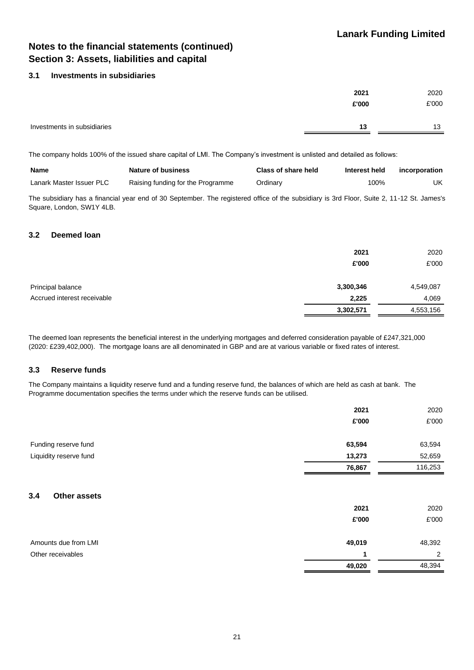### **3.1 Investments in subsidiaries**

|                             | 2021  | 2020  |
|-----------------------------|-------|-------|
|                             | £'000 | £'000 |
| Investments in subsidiaries | 13    | 13    |
|                             |       |       |

The company holds 100% of the issued share capital of LMI. The Company's investment is unlisted and detailed as follows:

| <b>Name</b>              | Nature of business                | <b>Class of share held</b> | Interest held | incorporation |
|--------------------------|-----------------------------------|----------------------------|---------------|---------------|
| Lanark Master Issuer PLC | Raising funding for the Programme | Ordinarv                   | 100%          | UK            |

The subsidiary has a financial year end of 30 September. The registered office of the subsidiary is 3rd Floor, Suite 2, 11-12 St. James's Square, London, SW1Y 4LB.

### **3.2 Deemed loan**

|                             | 2021<br>£'000 | 2020<br>£'000 |
|-----------------------------|---------------|---------------|
| Principal balance           | 3,300,346     | 4,549,087     |
| Accrued interest receivable | 2,225         | 4,069         |
|                             | 3,302,571     | 4,553,156     |

The deemed loan represents the beneficial interest in the underlying mortgages and deferred consideration payable of £247,321,000 (2020: £239,402,000). The mortgage loans are all denominated in GBP and are at various variable or fixed rates of interest.

### **3.3 Reserve funds**

The Company maintains a liquidity reserve fund and a funding reserve fund, the balances of which are held as cash at bank. The Programme documentation specifies the terms under which the reserve funds can be utilised.

|                        | 2021   | 2020    |
|------------------------|--------|---------|
|                        | £'000  | £'000   |
| Funding reserve fund   | 63,594 | 63,594  |
| Liquidity reserve fund | 13,273 | 52,659  |
|                        | 76,867 | 116,253 |
| 3.4<br>Other assets    |        |         |
|                        | 2021   | 2020    |
|                        | £'000  | £'000   |
| Amounts due from LMI   | 49,019 | 48,392  |
| Other receivables      | 4      | 2       |
|                        | 49,020 | 48,394  |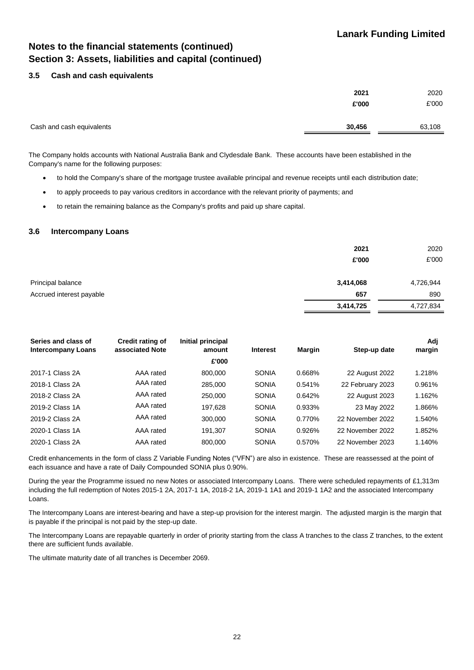# **Notes to the financial statements (continued) Section 3: Assets, liabilities and capital (continued)**

### **3.5 Cash and cash equivalents**

|                           | 2021   | 2020   |
|---------------------------|--------|--------|
|                           | £'000  | £'000  |
| Cash and cash equivalents | 30,456 | 63,108 |

The Company holds accounts with National Australia Bank and Clydesdale Bank. These accounts have been established in the Company's name for the following purposes:

- to hold the Company's share of the mortgage trustee available principal and revenue receipts until each distribution date;
- to apply proceeds to pay various creditors in accordance with the relevant priority of payments; and
- to retain the remaining balance as the Company's profits and paid up share capital.

#### **3.6 Intercompany Loans**

|                          | 2021      | 2020      |
|--------------------------|-----------|-----------|
|                          | £'000     | £'000     |
| Principal balance        | 3,414,068 | 4,726,944 |
| Accrued interest payable | 657       | 890       |
|                          | 3,414,725 | 4,727,834 |

| Series and class of<br><b>Intercompany Loans</b> | <b>Credit rating of</b><br>associated Note | Initial principal<br>amount | <b>Interest</b> | <b>Margin</b> | Step-up date     | Adj<br>margin |
|--------------------------------------------------|--------------------------------------------|-----------------------------|-----------------|---------------|------------------|---------------|
|                                                  |                                            | £'000                       |                 |               |                  |               |
| 2017-1 Class 2A                                  | AAA rated                                  | 800,000                     | <b>SONIA</b>    | 0.668%        | 22 August 2022   | 1.218%        |
| 2018-1 Class 2A                                  | AAA rated                                  | 285.000                     | SONIA           | 0.541%        | 22 February 2023 | 0.961%        |
| 2018-2 Class 2A                                  | AAA rated                                  | 250.000                     | SONIA           | 0.642%        | 22 August 2023   | 1.162%        |
| 2019-2 Class 1A                                  | AAA rated                                  | 197,628                     | SONIA           | 0.933%        | 23 May 2022      | 1.866%        |
| 2019-2 Class 2A                                  | AAA rated                                  | 300.000                     | SONIA           | 0.770%        | 22 November 2022 | 1.540%        |
| 2020-1 Class 1A                                  | AAA rated                                  | 191.307                     | SONIA           | 0.926%        | 22 November 2022 | 1.852%        |
| 2020-1 Class 2A                                  | AAA rated                                  | 800.000                     | SONIA           | 0.570%        | 22 November 2023 | 1.140%        |

Credit enhancements in the form of class Z Variable Funding Notes ("VFN") are also in existence. These are reassessed at the point of each issuance and have a rate of Daily Compounded SONIA plus 0.90%.

During the year the Programme issued no new Notes or associated Intercompany Loans. There were scheduled repayments of £1,313m including the full redemption of Notes 2015-1 2A, 2017-1 1A, 2018-2 1A, 2019-1 1A1 and 2019-1 1A2 and the associated Intercompany Loans.

The Intercompany Loans are interest-bearing and have a step-up provision for the interest margin. The adjusted margin is the margin that is payable if the principal is not paid by the step-up date.

The Intercompany Loans are repayable quarterly in order of priority starting from the class A tranches to the class Z tranches, to the extent there are sufficient funds available.

The ultimate maturity date of all tranches is December 2069.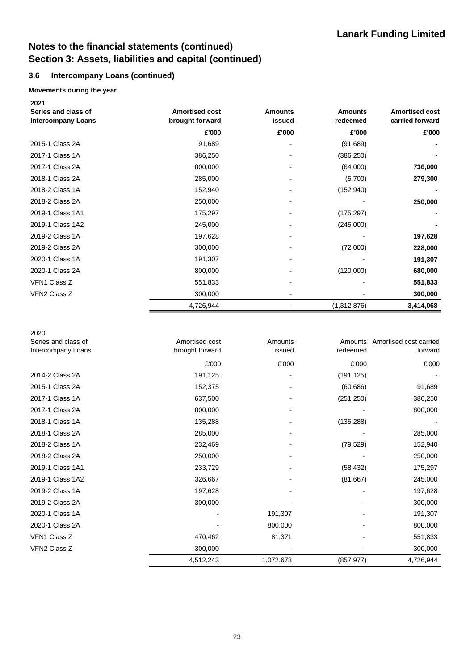### **3.6 Intercompany Loans (continued)**

### **Movements during the year**

| 2021<br>Series and class of<br><b>Intercompany Loans</b> | <b>Amortised cost</b><br>brought forward | <b>Amounts</b><br>issued | <b>Amounts</b><br>redeemed | <b>Amortised cost</b><br>carried forward |
|----------------------------------------------------------|------------------------------------------|--------------------------|----------------------------|------------------------------------------|
|                                                          | £'000                                    | £'000                    | £'000                      | £'000                                    |
| 2015-1 Class 2A                                          | 91,689                                   |                          | (91, 689)                  |                                          |
| 2017-1 Class 1A                                          | 386,250                                  |                          | (386, 250)                 |                                          |
| 2017-1 Class 2A                                          | 800,000                                  |                          | (64,000)                   | 736,000                                  |
| 2018-1 Class 2A                                          | 285,000                                  |                          | (5,700)                    | 279,300                                  |
| 2018-2 Class 1A                                          | 152,940                                  |                          | (152, 940)                 |                                          |
| 2018-2 Class 2A                                          | 250,000                                  |                          |                            | 250,000                                  |
| 2019-1 Class 1A1                                         | 175,297                                  |                          | (175, 297)                 |                                          |
| 2019-1 Class 1A2                                         | 245,000                                  |                          | (245,000)                  |                                          |
| 2019-2 Class 1A                                          | 197,628                                  |                          |                            | 197,628                                  |
| 2019-2 Class 2A                                          | 300,000                                  |                          | (72,000)                   | 228,000                                  |
| 2020-1 Class 1A                                          | 191,307                                  |                          |                            | 191,307                                  |
| 2020-1 Class 2A                                          | 800,000                                  |                          | (120,000)                  | 680,000                                  |
| VFN1 Class Z                                             | 551,833                                  |                          |                            | 551,833                                  |
| VFN2 Class Z                                             | 300,000                                  |                          |                            | 300,000                                  |
|                                                          | 4,726,944                                |                          | (1,312,876)                | 3,414,068                                |

| 2020                |                 |           |            |                        |
|---------------------|-----------------|-----------|------------|------------------------|
| Series and class of | Amortised cost  | Amounts   | Amounts    | Amortised cost carried |
| Intercompany Loans  | brought forward | issued    | redeemed   | forward                |
|                     | £'000           | £'000     | £'000      | £'000                  |
| 2014-2 Class 2A     | 191,125         |           | (191, 125) |                        |
| 2015-1 Class 2A     | 152,375         |           | (60, 686)  | 91,689                 |
| 2017-1 Class 1A     | 637,500         |           | (251, 250) | 386,250                |
| 2017-1 Class 2A     | 800,000         |           |            | 800,000                |
| 2018-1 Class 1A     | 135,288         |           | (135, 288) |                        |
| 2018-1 Class 2A     | 285,000         |           |            | 285,000                |
| 2018-2 Class 1A     | 232,469         |           | (79, 529)  | 152,940                |
| 2018-2 Class 2A     | 250,000         |           |            | 250,000                |
| 2019-1 Class 1A1    | 233,729         |           | (58, 432)  | 175,297                |
| 2019-1 Class 1A2    | 326,667         |           | (81, 667)  | 245,000                |
| 2019-2 Class 1A     | 197,628         |           |            | 197,628                |
| 2019-2 Class 2A     | 300,000         |           |            | 300,000                |
| 2020-1 Class 1A     |                 | 191,307   |            | 191,307                |
| 2020-1 Class 2A     |                 | 800,000   |            | 800,000                |
| VFN1 Class Z        | 470,462         | 81,371    |            | 551,833                |
| VFN2 Class Z        | 300,000         |           |            | 300,000                |
|                     | 4,512,243       | 1,072,678 | (857, 977) | 4,726,944              |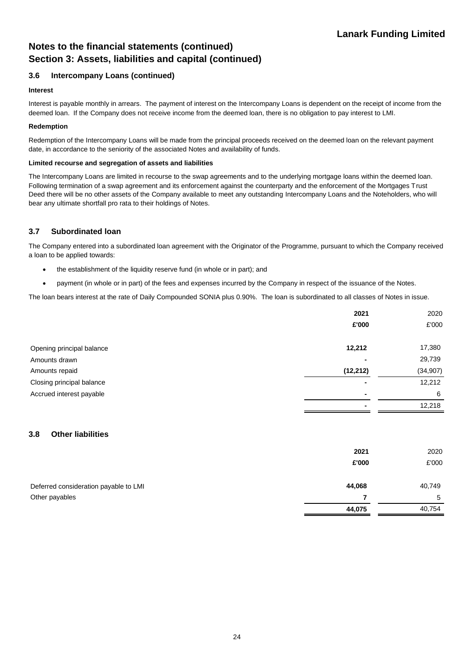### **3.6 Intercompany Loans (continued)**

#### **Interest**

Interest is payable monthly in arrears. The payment of interest on the Intercompany Loans is dependent on the receipt of income from the deemed loan. If the Company does not receive income from the deemed loan, there is no obligation to pay interest to LMI.

#### **Redemption**

Redemption of the Intercompany Loans will be made from the principal proceeds received on the deemed loan on the relevant payment date, in accordance to the seniority of the associated Notes and availability of funds.

#### **Limited recourse and segregation of assets and liabilities**

The Intercompany Loans are limited in recourse to the swap agreements and to the underlying mortgage loans within the deemed loan. Following termination of a swap agreement and its enforcement against the counterparty and the enforcement of the Mortgages Trust Deed there will be no other assets of the Company available to meet any outstanding Intercompany Loans and the Noteholders, who will bear any ultimate shortfall pro rata to their holdings of Notes.

### **3.7 Subordinated loan**

The Company entered into a subordinated loan agreement with the Originator of the Programme, pursuant to which the Company received a loan to be applied towards:

- the establishment of the liquidity reserve fund (in whole or in part); and
- payment (in whole or in part) of the fees and expenses incurred by the Company in respect of the issuance of the Notes.

The loan bears interest at the rate of Daily Compounded SONIA plus 0.90%. The loan is subordinated to all classes of Notes in issue.

|                           | 2021           | 2020      |
|---------------------------|----------------|-----------|
|                           | £'000          | £'000     |
| Opening principal balance | 12,212         | 17,380    |
| Amounts drawn             | -              | 29,739    |
| Amounts repaid            | (12, 212)      | (34, 907) |
| Closing principal balance | $\blacksquare$ | 12,212    |
| Accrued interest payable  | ٠              | 6         |
|                           |                | 12,218    |

### **3.8 Other liabilities**

|                                       | 2021   | 2020   |
|---------------------------------------|--------|--------|
|                                       | £'000  | £'000  |
| Deferred consideration payable to LMI | 44,068 | 40,749 |
| Other payables                        | 7      | 5      |
|                                       | 44,075 | 40,754 |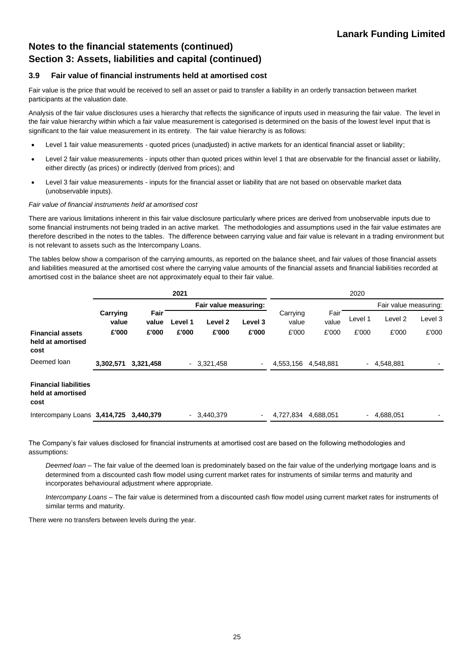### **3.9 Fair value of financial instruments held at amortised cost**

Fair value is the price that would be received to sell an asset or paid to transfer a liability in an orderly transaction between market participants at the valuation date.

Analysis of the fair value disclosures uses a hierarchy that reflects the significance of inputs used in measuring the fair value. The level in the fair value hierarchy within which a fair value measurement is categorised is determined on the basis of the lowest level input that is significant to the fair value measurement in its entirety. The fair value hierarchy is as follows:

- Level 1 fair value measurements quoted prices (unadjusted) in active markets for an identical financial asset or liability;
- Level 2 fair value measurements inputs other than quoted prices within level 1 that are observable for the financial asset or liability, either directly (as prices) or indirectly (derived from prices); and
- Level 3 fair value measurements inputs for the financial asset or liability that are not based on observable market data (unobservable inputs).

#### *Fair value of financial instruments held at amortised cost*

There are various limitations inherent in this fair value disclosure particularly where prices are derived from unobservable inputs due to some financial instruments not being traded in an active market. The methodologies and assumptions used in the fair value estimates are therefore described in the notes to the tables. The difference between carrying value and fair value is relevant in a trading environment but is not relevant to assets such as the Intercompany Loans.

The tables below show a comparison of the carrying amounts, as reported on the balance sheet, and fair values of those financial assets and liabilities measured at the amortised cost where the carrying value amounts of the financial assets and financial liabilities recorded at amortised cost in the balance sheet are not approximately equal to their fair value.

|                                                           |                   |               | 2021    |                       |         |                   |               | 2020    |                       |         |
|-----------------------------------------------------------|-------------------|---------------|---------|-----------------------|---------|-------------------|---------------|---------|-----------------------|---------|
|                                                           |                   |               |         | Fair value measuring: |         |                   |               |         | Fair value measuring: |         |
|                                                           | Carrying<br>value | Fair<br>value | Level 1 | Level 2               | Level 3 | Carrying<br>value | Fair<br>value | Level 1 | Level 2               | Level 3 |
| <b>Financial assets</b><br>held at amortised<br>cost      | £'000             | £'000         | £'000   | £'000                 | £'000   | £'000             | £'000         | £'000   | £'000                 | £'000   |
| Deemed loan                                               | 3,302,571         | 3,321,458     |         | $-3,321,458$          |         | 4,553,156         | 4.548.881     |         | $-4,548,881$          |         |
| <b>Financial liabilities</b><br>held at amortised<br>cost |                   |               |         |                       |         |                   |               |         |                       |         |
| Intercompany Loans 3,414,725 3,440,379                    |                   |               |         | $-3.440.379$          |         | 4.727.834         | 4.688.051     | $\sim$  | 4.688.051             |         |

The Company's fair values disclosed for financial instruments at amortised cost are based on the following methodologies and assumptions:

*Deemed loan* – The fair value of the deemed loan is predominately based on the fair value of the underlying mortgage loans and is determined from a discounted cash flow model using current market rates for instruments of similar terms and maturity and incorporates behavioural adjustment where appropriate.

*Intercompany Loans* – The fair value is determined from a discounted cash flow model using current market rates for instruments of similar terms and maturity.

There were no transfers between levels during the year.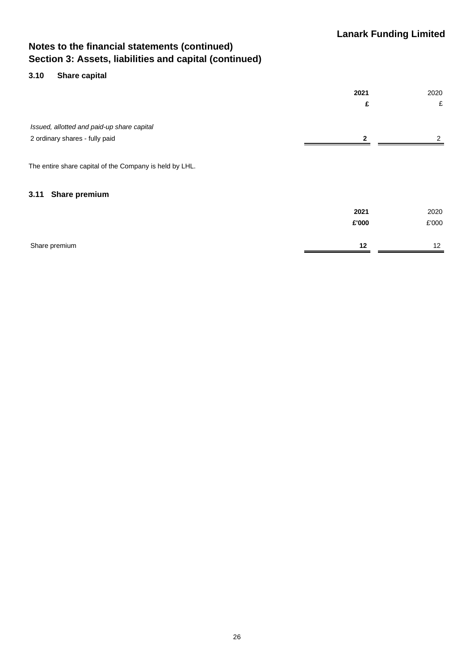### **3.10 Share capital**

|                                                         | 2021         | 2020           |
|---------------------------------------------------------|--------------|----------------|
|                                                         | £            | £              |
| Issued, allotted and paid-up share capital              |              |                |
| 2 ordinary shares - fully paid                          | $\mathbf{2}$ | $\overline{2}$ |
| The entire share capital of the Company is held by LHL. |              |                |
| 3.11 Share premium                                      |              |                |
|                                                         | 2021         | 2020           |
|                                                         | £'000        | £'000          |
| Share premium                                           | 12           | 12             |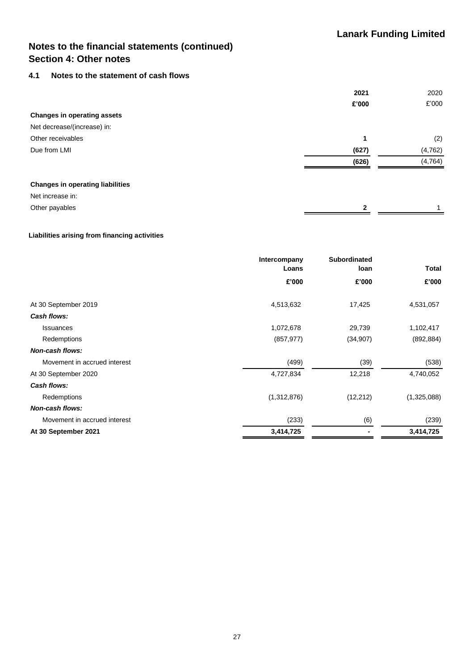### **4.1 Notes to the statement of cash flows**

|                                         | 2021         | 2020     |
|-----------------------------------------|--------------|----------|
|                                         | £'000        | £'000    |
| <b>Changes in operating assets</b>      |              |          |
| Net decrease/(increase) in:             |              |          |
| Other receivables                       | 1            | (2)      |
| Due from LMI                            | (627)        | (4, 762) |
|                                         | (626)        | (4, 764) |
| <b>Changes in operating liabilities</b> |              |          |
| Net increase in:                        |              |          |
| Other payables                          | $\mathbf{2}$ |          |

### **Liabilities arising from financing activities**

|                              | Intercompany<br>Loans | <b>Subordinated</b><br>loan | <b>Total</b> |  |
|------------------------------|-----------------------|-----------------------------|--------------|--|
|                              | £'000                 | £'000                       | £'000        |  |
| At 30 September 2019         | 4,513,632             | 17,425                      | 4,531,057    |  |
| <b>Cash flows:</b>           |                       |                             |              |  |
| Issuances                    | 1,072,678             | 29,739                      | 1,102,417    |  |
| Redemptions                  | (857, 977)            | (34, 907)                   | (892, 884)   |  |
| <b>Non-cash flows:</b>       |                       |                             |              |  |
| Movement in accrued interest | (499)                 | (39)                        | (538)        |  |
| At 30 September 2020         | 4,727,834             | 12,218                      | 4,740,052    |  |
| <b>Cash flows:</b>           |                       |                             |              |  |
| Redemptions                  | (1,312,876)           | (12, 212)                   | (1,325,088)  |  |
| <b>Non-cash flows:</b>       |                       |                             |              |  |
| Movement in accrued interest | (233)                 | (6)                         | (239)        |  |
| At 30 September 2021         | 3,414,725             |                             | 3,414,725    |  |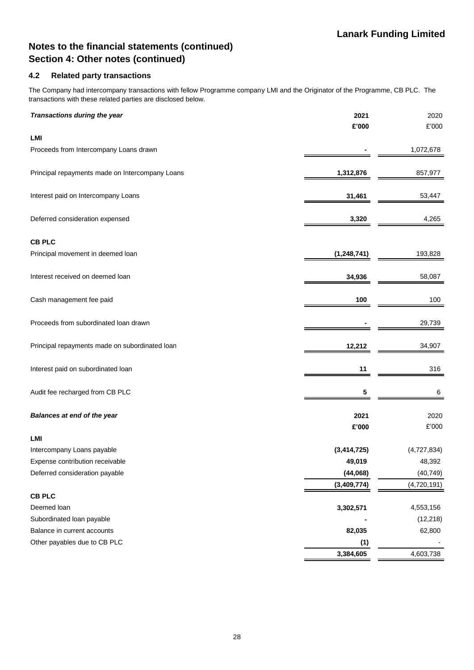### **4.2 Related party transactions**

The Company had intercompany transactions with fellow Programme company LMI and the Originator of the Programme, CB PLC. The transactions with these related parties are disclosed below.

| Transactions during the year                    | 2021<br>£'000 | 2020<br>£'000 |
|-------------------------------------------------|---------------|---------------|
| <b>LMI</b>                                      |               |               |
| Proceeds from Intercompany Loans drawn          |               | 1,072,678     |
| Principal repayments made on Intercompany Loans | 1,312,876     | 857,977       |
| Interest paid on Intercompany Loans             | 31,461        | 53,447        |
| Deferred consideration expensed                 | 3,320         | 4,265         |
| <b>CB PLC</b>                                   |               |               |
| Principal movement in deemed loan               | (1, 248, 741) | 193,828       |
| Interest received on deemed loan                | 34,936        | 58,087        |
| Cash management fee paid                        | 100           | 100           |
| Proceeds from subordinated loan drawn           |               | 29,739        |
| Principal repayments made on subordinated loan  | 12,212        | 34,907        |
| Interest paid on subordinated loan              | 11            | 316           |
| Audit fee recharged from CB PLC                 | 5             | 6             |
| Balances at end of the year                     | 2021<br>£'000 | 2020<br>£'000 |
| <b>LMI</b>                                      |               |               |
| Intercompany Loans payable                      | (3,414,725)   | (4,727,834)   |
| Expense contribution receivable                 | 49,019        | 48,392        |
| Deferred consideration payable                  | (44,068)      | (40, 749)     |
|                                                 | (3,409,774)   | (4,720,191)   |
| <b>CB PLC</b>                                   |               |               |
| Deemed loan                                     | 3,302,571     | 4,553,156     |
| Subordinated loan payable                       |               | (12, 218)     |
| Balance in current accounts                     | 82,035        | 62,800        |
| Other payables due to CB PLC                    | (1)           |               |
|                                                 | 3,384,605     | 4,603,738     |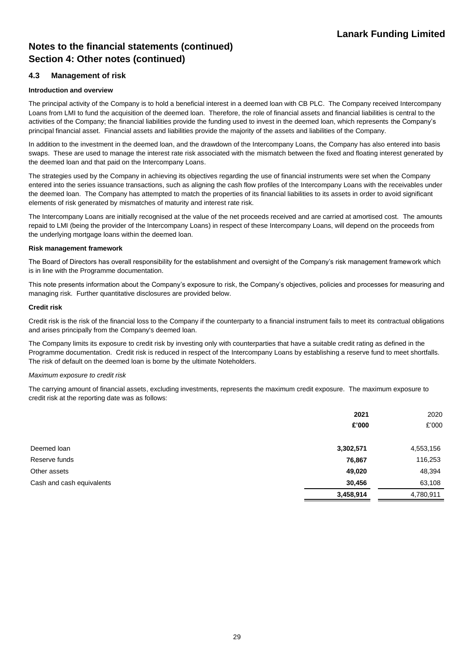### **4.3 Management of risk**

#### **Introduction and overview**

The principal activity of the Company is to hold a beneficial interest in a deemed loan with CB PLC. The Company received Intercompany Loans from LMI to fund the acquisition of the deemed loan. Therefore, the role of financial assets and financial liabilities is central to the activities of the Company; the financial liabilities provide the funding used to invest in the deemed loan, which represents the Company's principal financial asset. Financial assets and liabilities provide the majority of the assets and liabilities of the Company.

In addition to the investment in the deemed loan, and the drawdown of the Intercompany Loans, the Company has also entered into basis swaps. These are used to manage the interest rate risk associated with the mismatch between the fixed and floating interest generated by the deemed loan and that paid on the Intercompany Loans.

The strategies used by the Company in achieving its objectives regarding the use of financial instruments were set when the Company entered into the series issuance transactions, such as aligning the cash flow profiles of the Intercompany Loans with the receivables under the deemed loan. The Company has attempted to match the properties of its financial liabilities to its assets in order to avoid significant elements of risk generated by mismatches of maturity and interest rate risk.

The Intercompany Loans are initially recognised at the value of the net proceeds received and are carried at amortised cost. The amounts repaid to LMI (being the provider of the Intercompany Loans) in respect of these Intercompany Loans, will depend on the proceeds from the underlying mortgage loans within the deemed loan.

#### **Risk management framework**

The Board of Directors has overall responsibility for the establishment and oversight of the Company's risk management framework which is in line with the Programme documentation.

This note presents information about the Company's exposure to risk, the Company's objectives, policies and processes for measuring and managing risk. Further quantitative disclosures are provided below.

#### **Credit risk**

Credit risk is the risk of the financial loss to the Company if the counterparty to a financial instrument fails to meet its contractual obligations and arises principally from the Company's deemed loan.

The Company limits its exposure to credit risk by investing only with counterparties that have a suitable credit rating as defined in the Programme documentation. Credit risk is reduced in respect of the Intercompany Loans by establishing a reserve fund to meet shortfalls. The risk of default on the deemed loan is borne by the ultimate Noteholders.

#### *Maximum exposure to credit risk*

The carrying amount of financial assets, excluding investments, represents the maximum credit exposure. The maximum exposure to credit risk at the reporting date was as follows:

|                           | 2021      | 2020      |
|---------------------------|-----------|-----------|
|                           | £'000     | £'000     |
| Deemed loan               | 3,302,571 | 4,553,156 |
| Reserve funds             | 76,867    | 116,253   |
| Other assets              | 49,020    | 48,394    |
| Cash and cash equivalents | 30,456    | 63,108    |
|                           | 3,458,914 | 4,780,911 |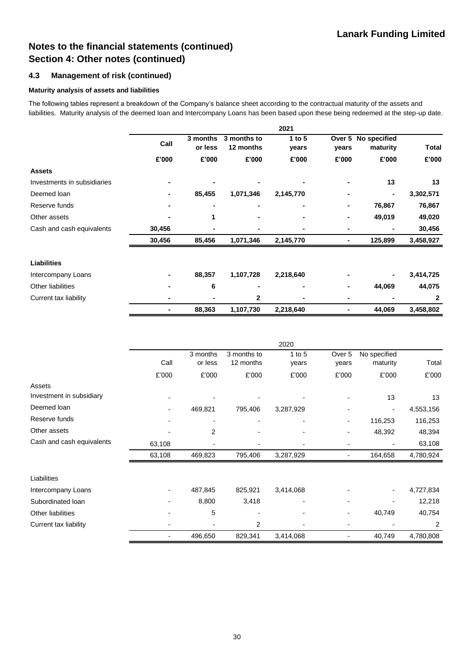### **4.3 Management of risk (continued)**

#### **Maturity analysis of assets and liabilities**

The following tables represent a breakdown of the Company's balance sheet according to the contractual maturity of the assets and liabilities. Maturity analysis of the deemed loan and Intercompany Loans has been based upon these being redeemed at the step-up date.

|                             |        |                     |                          | 2021            |       |                                 |              |
|-----------------------------|--------|---------------------|--------------------------|-----------------|-------|---------------------------------|--------------|
|                             | Call   | 3 months<br>or less | 3 months to<br>12 months | 1 to 5<br>years | years | Over 5 No specified<br>maturity | Total        |
|                             | £'000  | £'000               | £'000                    | £'000           | £'000 | £'000                           | £'000        |
| <b>Assets</b>               |        |                     |                          |                 |       |                                 |              |
| Investments in subsidiaries |        | ۰                   | -                        |                 |       | 13                              | 13           |
| Deemed loan                 |        | 85,455              | 1,071,346                | 2,145,770       | ۰     | ۰                               | 3,302,571    |
| Reserve funds               |        |                     | ۰                        |                 | ۰     | 76,867                          | 76,867       |
| Other assets                |        | 1                   |                          |                 |       | 49,019                          | 49,020       |
| Cash and cash equivalents   | 30,456 |                     |                          |                 |       |                                 | 30,456       |
|                             | 30,456 | 85,456              | 1,071,346                | 2,145,770       | ۰     | 125,899                         | 3,458,927    |
| <b>Liabilities</b>          |        |                     |                          |                 |       |                                 |              |
| Intercompany Loans          |        | 88,357              | 1,107,728                | 2,218,640       |       |                                 | 3,414,725    |
| Other liabilities           |        | 6                   |                          |                 |       | 44,069                          | 44,075       |
| Current tax liability       |        | ۰                   | $\mathbf{2}$             |                 |       |                                 | $\mathbf{2}$ |
|                             |        | 88,363              | 1,107,730                | 2,218,640       |       | 44,069                          | 3,458,802    |

|                                    |        |                     |                          | 2020              |                            |                          |           |
|------------------------------------|--------|---------------------|--------------------------|-------------------|----------------------------|--------------------------|-----------|
|                                    | Call   | 3 months<br>or less | 3 months to<br>12 months | 1 to $5$<br>years | Over <sub>5</sub><br>years | No specified<br>maturity | Total     |
|                                    | £'000  | £'000               | £'000                    | £'000             | £'000                      | £'000                    | £'000     |
| Assets<br>Investment in subsidiary |        |                     |                          |                   |                            | 13                       | 13        |
| Deemed loan                        |        | 469,821             | 795,406                  | 3,287,929         |                            |                          | 4,553,156 |
| Reserve funds                      |        |                     |                          |                   |                            | 116,253                  | 116,253   |
| Other assets                       |        | 2                   |                          |                   |                            | 48,392                   | 48,394    |
| Cash and cash equivalents          | 63,108 | $\overline{a}$      |                          |                   |                            |                          | 63,108    |
|                                    | 63,108 | 469,823             | 795,406                  | 3,287,929         |                            | 164,658                  | 4,780,924 |
| Liabilities                        |        |                     |                          |                   |                            |                          |           |
| Intercompany Loans                 |        | 487,845             | 825,921                  | 3,414,068         |                            |                          | 4,727,834 |
| Subordinated loan                  |        | 8,800               | 3,418                    |                   |                            |                          | 12,218    |
| Other liabilities                  |        | 5                   |                          |                   |                            | 40,749                   | 40,754    |
| Current tax liability              |        |                     | 2                        |                   |                            |                          | 2         |
|                                    |        | 496,650             | 829,341                  | 3,414,068         |                            | 40,749                   | 4,780,808 |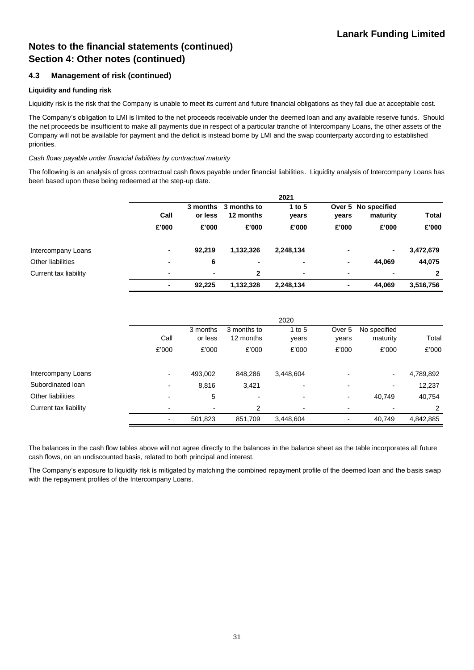### **4.3 Management of risk (continued)**

#### **Liquidity and funding risk**

Liquidity risk is the risk that the Company is unable to meet its current and future financial obligations as they fall due at acceptable cost.

The Company's obligation to LMI is limited to the net proceeds receivable under the deemed loan and any available reserve funds. Should the net proceeds be insufficient to make all payments due in respect of a particular tranche of Intercompany Loans, the other assets of the Company will not be available for payment and the deficit is instead borne by LMI and the swap counterparty according to established priorities.

#### *Cash flows payable under financial liabilities by contractual maturity*

The following is an analysis of gross contractual cash flows payable under financial liabilities. Liquidity analysis of Intercompany Loans has been based upon these being redeemed at the step-up date.

|                       | 2021                     |         |                                   |                   |       |                                 |              |
|-----------------------|--------------------------|---------|-----------------------------------|-------------------|-------|---------------------------------|--------------|
|                       | Call                     | or less | 3 months 3 months to<br>12 months | 1 to $5$<br>years | years | Over 5 No specified<br>maturity | <b>Total</b> |
|                       | £'000                    | £'000   | £'000                             | £'000             | £'000 | £'000                           | £'000        |
| Intercompany Loans    | $\blacksquare$           | 92,219  | 1,132,326                         | 2,248,134         | ۰     | ۰.                              | 3,472,679    |
| Other liabilities     | $\overline{\phantom{a}}$ | 6       | ٠                                 |                   | ۰     | 44,069                          | 44,075       |
| Current tax liability | ۰                        | ٠       | $\mathbf{2}$                      | $\blacksquare$    | ۰     |                                 | 2            |
|                       | ٠                        | 92,225  | 1,132,328                         | 2,248,134         | ۰.    | 44,069                          | 3,516,756    |

|                       |                          |                     |                          | 2020                     |                          |                          |           |
|-----------------------|--------------------------|---------------------|--------------------------|--------------------------|--------------------------|--------------------------|-----------|
|                       | Call                     | 3 months<br>or less | 3 months to<br>12 months | 1 to $5$<br>years        | Over 5<br>vears          | No specified<br>maturity | Total     |
|                       | £'000                    | £'000               | £'000                    | £'000                    | £'000                    | £'000                    | £'000     |
| Intercompany Loans    | $\blacksquare$           | 493,002             | 848,286                  | 3,448,604                | $\blacksquare$           | $\overline{\phantom{a}}$ | 4,789,892 |
| Subordinated loan     | $\overline{\phantom{0}}$ | 8,816               | 3,421                    | $\overline{\phantom{0}}$ | $\overline{\phantom{a}}$ |                          | 12,237    |
| Other liabilities     | $\overline{\phantom{0}}$ | 5                   | $\blacksquare$           | -                        | $\overline{\phantom{a}}$ | 40,749                   | 40,754    |
| Current tax liability |                          | ۰                   | 2                        | $\overline{\phantom{0}}$ |                          |                          | 2         |
|                       | ٠                        | 501,823             | 851,709                  | 3,448,604                | $\blacksquare$           | 40,749                   | 4,842,885 |

The balances in the cash flow tables above will not agree directly to the balances in the balance sheet as the table incorporates all future cash flows, on an undiscounted basis, related to both principal and interest.

The Company's exposure to liquidity risk is mitigated by matching the combined repayment profile of the deemed loan and the basis swap with the repayment profiles of the Intercompany Loans.